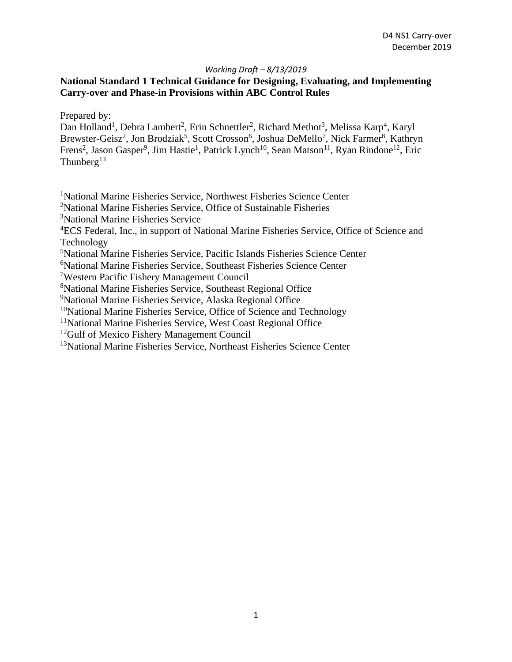## **National Standard 1 Technical Guidance for Designing, Evaluating, and Implementing Carry-over and Phase-in Provisions within ABC Control Rules**

Prepared by:

Dan Holland<sup>1</sup>, Debra Lambert<sup>2</sup>, Erin Schnettler<sup>2</sup>, Richard Methot<sup>3</sup>, Melissa Karp<sup>4</sup>, Karyl Brewster-Geisz<sup>2</sup>, Jon Brodziak<sup>5</sup>, Scott Crosson<sup>6</sup>, Joshua DeMello<sup>7</sup>, Nick Farmer<sup>8</sup>, Kathryn Frens<sup>2</sup>, Jason Gasper<sup>9</sup>, Jim Hastie<sup>1</sup>, Patrick Lynch<sup>10</sup>, Sean Matson<sup>11</sup>, Ryan Rindone<sup>12</sup>, Eric Thunberg<sup>13</sup>

<sup>1</sup>National Marine Fisheries Service, Northwest Fisheries Science Center

<sup>2</sup>National Marine Fisheries Service, Office of Sustainable Fisheries

3 National Marine Fisheries Service

<sup>4</sup>ECS Federal, Inc., in support of National Marine Fisheries Service, Office of Science and Technology

5 National Marine Fisheries Service, Pacific Islands Fisheries Science Center

6 National Marine Fisheries Service, Southeast Fisheries Science Center

7 Western Pacific Fishery Management Council

8 National Marine Fisheries Service, Southeast Regional Office

9 National Marine Fisheries Service, Alaska Regional Office

 $10$ National Marine Fisheries Service, Office of Science and Technology

<sup>11</sup>National Marine Fisheries Service, West Coast Regional Office

<sup>12</sup>Gulf of Mexico Fishery Management Council

<sup>13</sup>National Marine Fisheries Service, Northeast Fisheries Science Center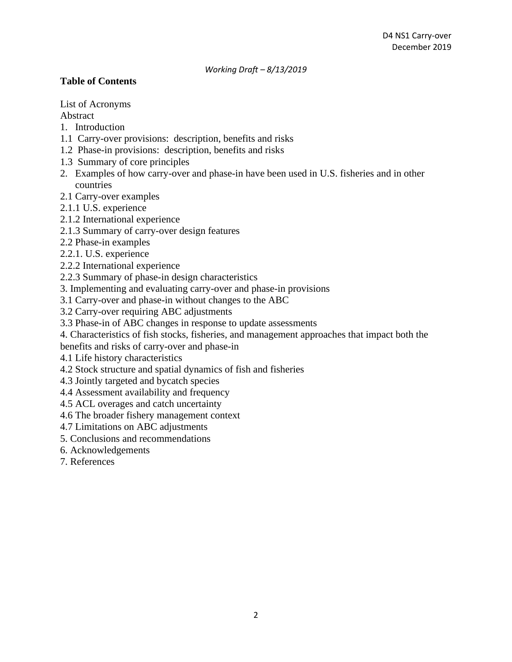## **Table of Contents**

List of Acronyms

Abstract

- 1. Introduction
- 1.1 Carry-over provisions: description, benefits and risks
- 1.2 Phase-in provisions: description, benefits and risks
- 1.3 Summary of core principles
- 2. Examples of how carry-over and phase-in have been used in U.S. fisheries and in other countries
- 2.1 Carry-over examples
- 2.1.1 U.S. experience
- 2.1.2 International experience
- 2.1.3 Summary of carry-over design features
- 2.2 Phase-in examples
- 2.2.1. U.S. experience
- 2.2.2 International experience
- 2.2.3 Summary of phase-in design characteristics
- 3. Implementing and evaluating carry-over and phase-in provisions
- 3.1 Carry-over and phase-in without changes to the ABC
- 3.2 Carry-over requiring ABC adjustments
- 3.3 Phase-in of ABC changes in response to update assessments
- 4. Characteristics of fish stocks, fisheries, and management approaches that impact both the

benefits and risks of carry-over and phase-in

- 4.1 Life history characteristics
- 4.2 Stock structure and spatial dynamics of fish and fisheries
- 4.3 Jointly targeted and bycatch species
- 4.4 Assessment availability and frequency
- 4.5 ACL overages and catch uncertainty
- 4.6 The broader fishery management context
- 4.7 Limitations on ABC adjustments
- 5. Conclusions and recommendations
- 6. Acknowledgements
- 7. References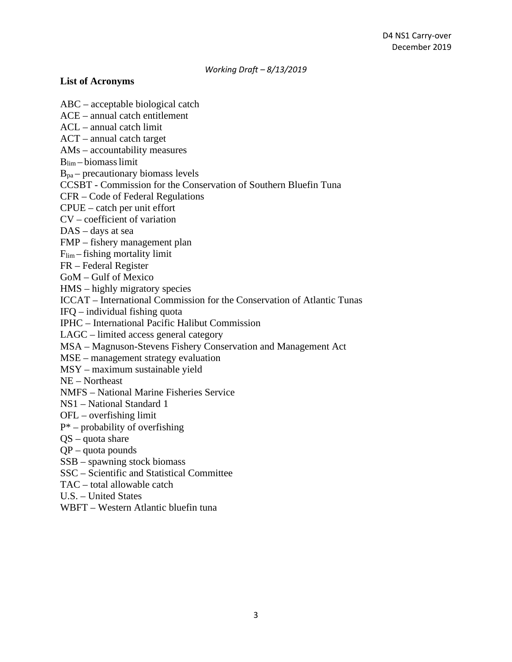#### **List of Acronyms**

ABC – acceptable biological catch ACE – annual catch entitlement ACL – annual catch limit ACT – annual catch target AMs – accountability measures  $B_{\text{lim}}$  – biomass limit  $B<sub>pa</sub>$  – precautionary biomass levels CCSBT - Commission for the Conservation of Southern Bluefin Tuna CFR – Code of Federal Regulations CPUE – catch per unit effort CV – coefficient of variation DAS – days at sea FMP – fishery management plan Flim – fishing mortality limit FR – Federal Register GoM – Gulf of Mexico HMS – highly migratory species ICCAT – International Commission for the Conservation of Atlantic Tunas IFQ – individual fishing quota IPHC – International Pacific Halibut Commission LAGC – limited access general category MSA – Magnuson-Stevens Fishery Conservation and Management Act MSE – management strategy evaluation MSY – maximum sustainable yield NE – Northeast NMFS – National Marine Fisheries Service NS1 – National Standard 1 OFL – overfishing limit  $P^*$  – probability of overfishing QS – quota share QP – quota pounds SSB – spawning stock biomass SSC – Scientific and Statistical Committee TAC – total allowable catch U.S. – United States WBFT – Western Atlantic bluefin tuna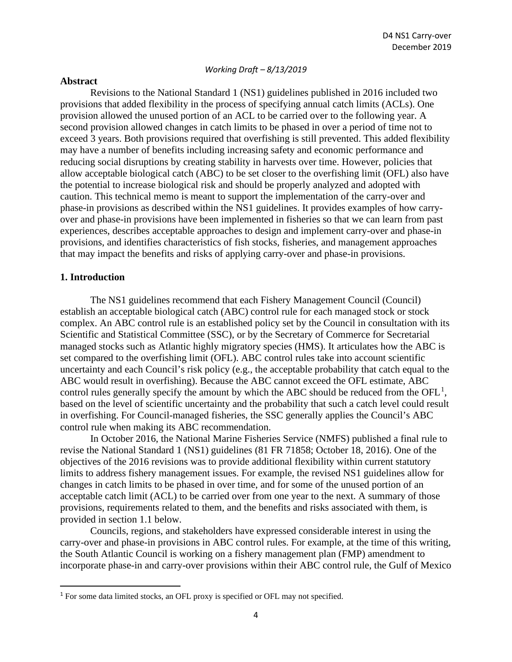#### **Abstract**

Revisions to the National Standard 1 (NS1) guidelines published in 2016 included two provisions that added flexibility in the process of specifying annual catch limits (ACLs). One provision allowed the unused portion of an ACL to be carried over to the following year. A second provision allowed changes in catch limits to be phased in over a period of time not to exceed 3 years. Both provisions required that overfishing is still prevented. This added flexibility may have a number of benefits including increasing safety and economic performance and reducing social disruptions by creating stability in harvests over time. However, policies that allow acceptable biological catch (ABC) to be set closer to the overfishing limit (OFL) also have the potential to increase biological risk and should be properly analyzed and adopted with caution. This technical memo is meant to support the implementation of the carry-over and phase-in provisions as described within the NS1 guidelines. It provides examples of how carryover and phase-in provisions have been implemented in fisheries so that we can learn from past experiences, describes acceptable approaches to design and implement carry-over and phase-in provisions, and identifies characteristics of fish stocks, fisheries, and management approaches that may impact the benefits and risks of applying carry-over and phase-in provisions.

## **1. Introduction**

The NS1 guidelines recommend that each Fishery Management Council (Council) establish an acceptable biological catch (ABC) control rule for each managed stock or stock complex. An ABC control rule is an established policy set by the Council in consultation with its Scientific and Statistical Committee (SSC), or by the Secretary of Commerce for Secretarial managed stocks such as Atlantic highly migratory species (HMS). It articulates how the ABC is set compared to the overfishing limit (OFL). ABC control rules take into account scientific uncertainty and each Council's risk policy (e.g., the acceptable probability that catch equal to the ABC would result in overfishing). Because the ABC cannot exceed the OFL estimate, ABC control rules generally specify the amount by which the ABC should be reduced from the  $OFL<sup>1</sup>$  $OFL<sup>1</sup>$  $OFL<sup>1</sup>$ , based on the level of scientific uncertainty and the probability that such a catch level could result in overfishing. For Council-managed fisheries, the SSC generally applies the Council's ABC control rule when making its ABC recommendation.

In October 2016, the National Marine Fisheries Service (NMFS) published a final rule to revise the National Standard 1 (NS1) guidelines (81 FR 71858; October 18, 2016). One of the objectives of the 2016 revisions was to provide additional flexibility within current statutory limits to address fishery management issues. For example, the revised NS1 guidelines allow for changes in catch limits to be phased in over time, and for some of the unused portion of an acceptable catch limit (ACL) to be carried over from one year to the next. A summary of those provisions, requirements related to them, and the benefits and risks associated with them, is provided in section 1.1 below.

Councils, regions, and stakeholders have expressed considerable interest in using the carry-over and phase-in provisions in ABC control rules. For example, at the time of this writing, the South Atlantic Council is working on a fishery management plan (FMP) amendment to incorporate phase-in and carry-over provisions within their ABC control rule, the Gulf of Mexico

<span id="page-3-0"></span><sup>&</sup>lt;sup>1</sup> For some data limited stocks, an OFL proxy is specified or OFL may not specified.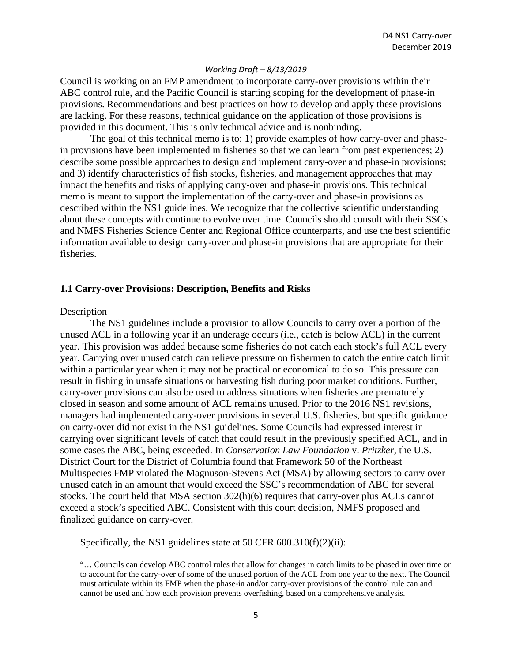Council is working on an FMP amendment to incorporate carry-over provisions within their ABC control rule, and the Pacific Council is starting scoping for the development of phase-in provisions. Recommendations and best practices on how to develop and apply these provisions are lacking. For these reasons, technical guidance on the application of those provisions is provided in this document. This is only technical advice and is nonbinding.

The goal of this technical memo is to: 1) provide examples of how carry-over and phasein provisions have been implemented in fisheries so that we can learn from past experiences; 2) describe some possible approaches to design and implement carry-over and phase-in provisions; and 3) identify characteristics of fish stocks, fisheries, and management approaches that may impact the benefits and risks of applying carry-over and phase-in provisions. This technical memo is meant to support the implementation of the carry-over and phase-in provisions as described within the NS1 guidelines. We recognize that the collective scientific understanding about these concepts with continue to evolve over time. Councils should consult with their SSCs and NMFS Fisheries Science Center and Regional Office counterparts, and use the best scientific information available to design carry-over and phase-in provisions that are appropriate for their fisheries.

#### **1.1 Carry-over Provisions: Description, Benefits and Risks**

#### **Description**

The NS1 guidelines include a provision to allow Councils to carry over a portion of the unused ACL in a following year if an underage occurs (i.e., catch is below ACL) in the current year. This provision was added because some fisheries do not catch each stock's full ACL every year. Carrying over unused catch can relieve pressure on fishermen to catch the entire catch limit within a particular year when it may not be practical or economical to do so. This pressure can result in fishing in unsafe situations or harvesting fish during poor market conditions. Further, carry-over provisions can also be used to address situations when fisheries are prematurely closed in season and some amount of ACL remains unused. Prior to the 2016 NS1 revisions, managers had implemented carry-over provisions in several U.S. fisheries, but specific guidance on carry-over did not exist in the NS1 guidelines. Some Councils had expressed interest in carrying over significant levels of catch that could result in the previously specified ACL, and in some cases the ABC, being exceeded. In *Conservation Law Foundation* v. *Pritzker,* the U.S. District Court for the District of Columbia found that Framework 50 of the Northeast Multispecies FMP violated the Magnuson-Stevens Act (MSA) by allowing sectors to carry over unused catch in an amount that would exceed the SSC's recommendation of ABC for several stocks. The court held that MSA section 302(h)(6) requires that carry-over plus ACLs cannot exceed a stock's specified ABC. Consistent with this court decision, NMFS proposed and finalized guidance on carry-over.

Specifically, the NS1 guidelines state at 50 CFR 600.310(f)(2)(ii):

"… Councils can develop ABC control rules that allow for changes in catch limits to be phased in over time or to account for the carry-over of some of the unused portion of the ACL from one year to the next. The Council must articulate within its FMP when the phase-in and/or carry-over provisions of the control rule can and cannot be used and how each provision prevents overfishing, based on a comprehensive analysis.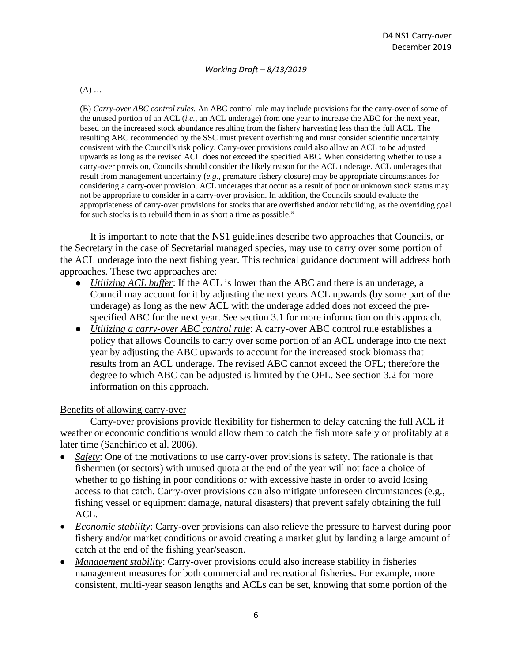$(A)$  ...

(B) *Carry-over ABC control rules.* An ABC control rule may include provisions for the carry-over of some of the unused portion of an ACL (*i.e.,* an ACL underage) from one year to increase the ABC for the next year, based on the increased stock abundance resulting from the fishery harvesting less than the full ACL. The resulting ABC recommended by the SSC must prevent overfishing and must consider scientific uncertainty consistent with the Council's risk policy. Carry-over provisions could also allow an ACL to be adjusted upwards as long as the revised ACL does not exceed the specified ABC. When considering whether to use a carry-over provision, Councils should consider the likely reason for the ACL underage. ACL underages that result from management uncertainty (*e.g.,* premature fishery closure) may be appropriate circumstances for considering a carry-over provision. ACL underages that occur as a result of poor or unknown stock status may not be appropriate to consider in a carry-over provision. In addition, the Councils should evaluate the appropriateness of carry-over provisions for stocks that are overfished and/or rebuilding, as the overriding goal for such stocks is to rebuild them in as short a time as possible."

It is important to note that the NS1 guidelines describe two approaches that Councils, or the Secretary in the case of Secretarial managed species, may use to carry over some portion of the ACL underage into the next fishing year. This technical guidance document will address both approaches. These two approaches are:

- *Utilizing ACL buffer*: If the ACL is lower than the ABC and there is an underage, a Council may account for it by adjusting the next years ACL upwards (by some part of the underage) as long as the new ACL with the underage added does not exceed the prespecified ABC for the next year. See section 3.1 for more information on this approach.
- *Utilizing a carry-over ABC control rule*: A carry-over ABC control rule establishes a policy that allows Councils to carry over some portion of an ACL underage into the next year by adjusting the ABC upwards to account for the increased stock biomass that results from an ACL underage. The revised ABC cannot exceed the OFL; therefore the degree to which ABC can be adjusted is limited by the OFL. See section 3.2 for more information on this approach.

#### Benefits of allowing carry-over

Carry-over provisions provide flexibility for fishermen to delay catching the full ACL if weather or economic conditions would allow them to catch the fish more safely or profitably at a later time (Sanchirico et al. 2006).

- *Safety*: One of the motivations to use carry-over provisions is safety. The rationale is that fishermen (or sectors) with unused quota at the end of the year will not face a choice of whether to go fishing in poor conditions or with excessive haste in order to avoid losing access to that catch. Carry-over provisions can also mitigate unforeseen circumstances (e.g., fishing vessel or equipment damage, natural disasters) that prevent safely obtaining the full ACL.
- *Economic stability*: Carry-over provisions can also relieve the pressure to harvest during poor fishery and/or market conditions or avoid creating a market glut by landing a large amount of catch at the end of the fishing year/season.
- *Management stability:* Carry-over provisions could also increase stability in fisheries management measures for both commercial and recreational fisheries. For example, more consistent, multi-year season lengths and ACLs can be set, knowing that some portion of the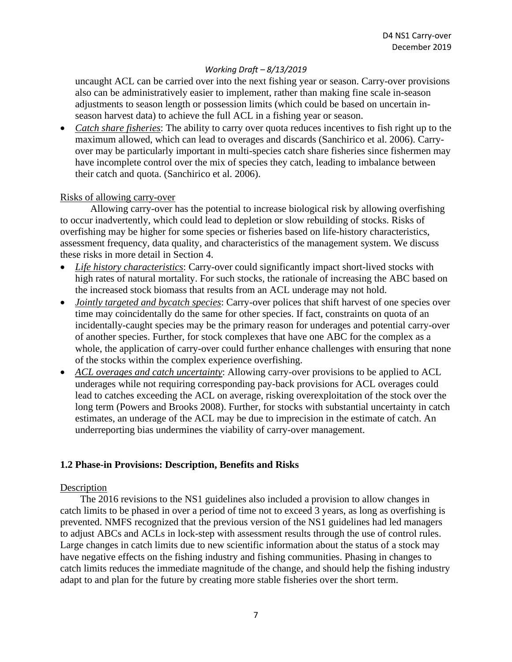uncaught ACL can be carried over into the next fishing year or season. Carry-over provisions also can be administratively easier to implement, rather than making fine scale in-season adjustments to season length or possession limits (which could be based on uncertain inseason harvest data) to achieve the full ACL in a fishing year or season.

• *Catch share fisheries*: The ability to carry over quota reduces incentives to fish right up to the maximum allowed, which can lead to overages and discards (Sanchirico et al. 2006). Carryover may be particularly important in multi-species catch share fisheries since fishermen may have incomplete control over the mix of species they catch, leading to imbalance between their catch and quota. (Sanchirico et al. 2006).

## Risks of allowing carry-over

Allowing carry-over has the potential to increase biological risk by allowing overfishing to occur inadvertently, which could lead to depletion or slow rebuilding of stocks. Risks of overfishing may be higher for some species or fisheries based on life-history characteristics, assessment frequency, data quality, and characteristics of the management system. We discuss these risks in more detail in Section 4.

- *Life history characteristics*: Carry-over could significantly impact short-lived stocks with high rates of natural mortality. For such stocks, the rationale of increasing the ABC based on the increased stock biomass that results from an ACL underage may not hold.
- *Jointly targeted and bycatch species*: Carry-over polices that shift harvest of one species over time may coincidentally do the same for other species. If fact, constraints on quota of an incidentally-caught species may be the primary reason for underages and potential carry-over of another species. Further, for stock complexes that have one ABC for the complex as a whole, the application of carry-over could further enhance challenges with ensuring that none of the stocks within the complex experience overfishing.
- *ACL overages and catch uncertainty*: Allowing carry-over provisions to be applied to ACL underages while not requiring corresponding pay-back provisions for ACL overages could lead to catches exceeding the ACL on average, risking overexploitation of the stock over the long term (Powers and Brooks 2008). Further, for stocks with substantial uncertainty in catch estimates, an underage of the ACL may be due to imprecision in the estimate of catch. An underreporting bias undermines the viability of carry-over management.

## **1.2 Phase-in Provisions: Description, Benefits and Risks**

#### Description

The 2016 revisions to the NS1 guidelines also included a provision to allow changes in catch limits to be phased in over a period of time not to exceed 3 years, as long as overfishing is prevented. NMFS recognized that the previous version of the NS1 guidelines had led managers to adjust ABCs and ACLs in lock-step with assessment results through the use of control rules. Large changes in catch limits due to new scientific information about the status of a stock may have negative effects on the fishing industry and fishing communities. Phasing in changes to catch limits reduces the immediate magnitude of the change, and should help the fishing industry adapt to and plan for the future by creating more stable fisheries over the short term.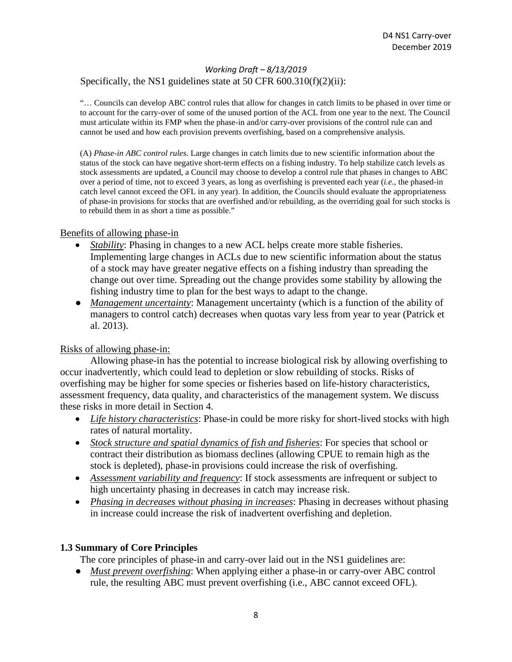## Specifically, the NS1 guidelines state at 50 CFR 600.310(f)(2)(ii):

"… Councils can develop ABC control rules that allow for changes in catch limits to be phased in over time or to account for the carry-over of some of the unused portion of the ACL from one year to the next. The Council must articulate within its FMP when the phase-in and/or carry-over provisions of the control rule can and cannot be used and how each provision prevents overfishing, based on a comprehensive analysis.

(A) *Phase-in ABC control rules.* Large changes in catch limits due to new scientific information about the status of the stock can have negative short-term effects on a fishing industry. To help stabilize catch levels as stock assessments are updated, a Council may choose to develop a control rule that phases in changes to ABC over a period of time, not to exceed 3 years, as long as overfishing is prevented each year (*i.e.,* the phased-in catch level cannot exceed the OFL in any year). In addition, the Councils should evaluate the appropriateness of phase-in provisions for stocks that are overfished and/or rebuilding, as the overriding goal for such stocks is to rebuild them in as short a time as possible."

## Benefits of allowing phase-in

- *Stability*: Phasing in changes to a new ACL helps create more stable fisheries. Implementing large changes in ACLs due to new scientific information about the status of a stock may have greater negative effects on a fishing industry than spreading the change out over time. Spreading out the change provides some stability by allowing the fishing industry time to plan for the best ways to adapt to the change.
- *Management uncertainty*: Management uncertainty (which is a function of the ability of managers to control catch) decreases when quotas vary less from year to year (Patrick et al. 2013).

## Risks of allowing phase-in:

Allowing phase-in has the potential to increase biological risk by allowing overfishing to occur inadvertently, which could lead to depletion or slow rebuilding of stocks. Risks of overfishing may be higher for some species or fisheries based on life-history characteristics, assessment frequency, data quality, and characteristics of the management system. We discuss these risks in more detail in Section 4.

- *Life history characteristics*: Phase-in could be more risky for short-lived stocks with high rates of natural mortality.
- *Stock structure and spatial dynamics of fish and fisheries*: For species that school or contract their distribution as biomass declines (allowing CPUE to remain high as the stock is depleted), phase-in provisions could increase the risk of overfishing.
- *Assessment variability and frequency*: If stock assessments are infrequent or subject to high uncertainty phasing in decreases in catch may increase risk.
- *Phasing in decreases without phasing in increases*: Phasing in decreases without phasing in increase could increase the risk of inadvertent overfishing and depletion.

## **1.3 Summary of Core Principles**

The core principles of phase-in and carry-over laid out in the NS1 guidelines are:

● *Must prevent overfishing*: When applying either a phase-in or carry-over ABC control rule, the resulting ABC must prevent overfishing (i.e., ABC cannot exceed OFL).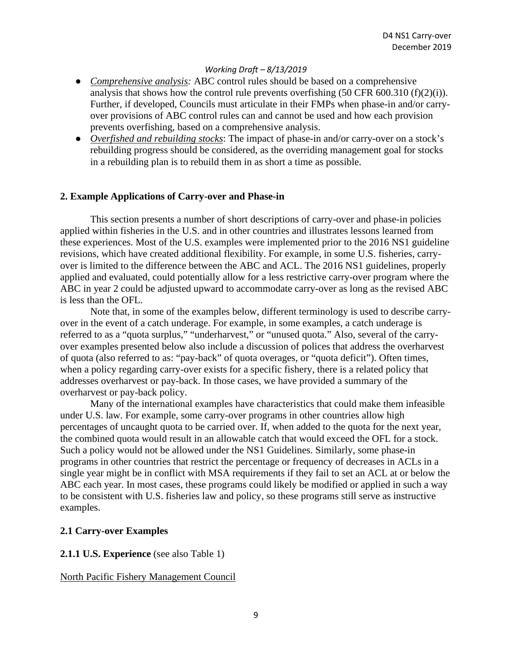- *Comprehensive analysis:* ABC control rules should be based on a comprehensive analysis that shows how the control rule prevents overfishing  $(50 \text{ CFR } 600.310 \text{ (f)}(2)(i))$ . Further, if developed, Councils must articulate in their FMPs when phase-in and/or carryover provisions of ABC control rules can and cannot be used and how each provision prevents overfishing, based on a comprehensive analysis.
- *Overfished and rebuilding stocks*: The impact of phase-in and/or carry-over on a stock's rebuilding progress should be considered, as the overriding management goal for stocks in a rebuilding plan is to rebuild them in as short a time as possible.

## **2. Example Applications of Carry-over and Phase-in**

This section presents a number of short descriptions of carry-over and phase-in policies applied within fisheries in the U.S. and in other countries and illustrates lessons learned from these experiences. Most of the U.S. examples were implemented prior to the 2016 NS1 guideline revisions, which have created additional flexibility. For example, in some U.S. fisheries, carryover is limited to the difference between the ABC and ACL. The 2016 NS1 guidelines, properly applied and evaluated, could potentially allow for a less restrictive carry-over program where the ABC in year 2 could be adjusted upward to accommodate carry-over as long as the revised ABC is less than the OFL.

Note that, in some of the examples below, different terminology is used to describe carryover in the event of a catch underage. For example, in some examples, a catch underage is referred to as a "quota surplus," "underharvest," or "unused quota." Also, several of the carryover examples presented below also include a discussion of polices that address the overharvest of quota (also referred to as: "pay-back" of quota overages, or "quota deficit"). Often times, when a policy regarding carry-over exists for a specific fishery, there is a related policy that addresses overharvest or pay-back. In those cases, we have provided a summary of the overharvest or pay-back policy.

Many of the international examples have characteristics that could make them infeasible under U.S. law. For example, some carry-over programs in other countries allow high percentages of uncaught quota to be carried over. If, when added to the quota for the next year, the combined quota would result in an allowable catch that would exceed the OFL for a stock. Such a policy would not be allowed under the NS1 Guidelines. Similarly, some phase-in programs in other countries that restrict the percentage or frequency of decreases in ACLs in a single year might be in conflict with MSA requirements if they fail to set an ACL at or below the ABC each year. In most cases, these programs could likely be modified or applied in such a way to be consistent with U.S. fisheries law and policy, so these programs still serve as instructive examples.

#### **2.1 Carry-over Examples**

#### **2.1.1 U.S. Experience** (see also Table 1)

#### North Pacific Fishery Management Council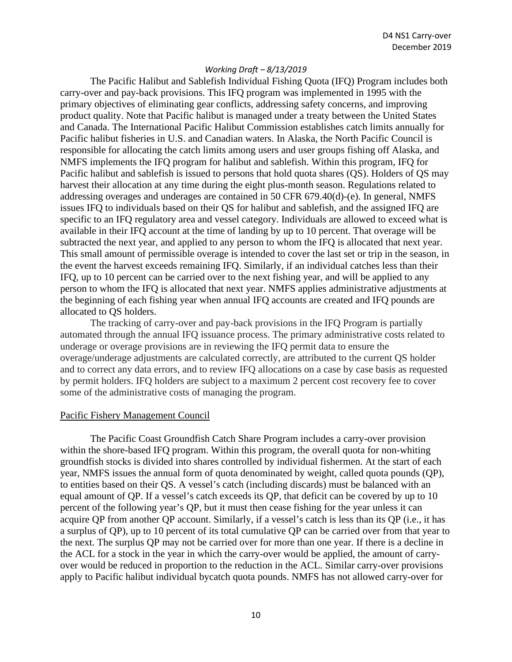The Pacific Halibut and Sablefish Individual Fishing Quota (IFQ) Program includes both carry-over and pay-back provisions. This IFQ program was implemented in 1995 with the primary objectives of eliminating gear conflicts, addressing safety concerns, and improving product quality. Note that Pacific halibut is managed under a treaty between the United States and Canada. The International Pacific Halibut Commission establishes catch limits annually for Pacific halibut fisheries in U.S. and Canadian waters. In Alaska, the North Pacific Council is responsible for allocating the catch limits among users and user groups fishing off Alaska, and NMFS implements the IFQ program for halibut and sablefish. Within this program, IFQ for Pacific halibut and sablefish is issued to persons that hold quota shares (QS). Holders of QS may harvest their allocation at any time during the eight plus-month season. Regulations related to addressing overages and underages are contained in 50 CFR 679.40(d)-(e). In general, NMFS issues IFQ to individuals based on their QS for halibut and sablefish, and the assigned IFQ are specific to an IFQ regulatory area and vessel category. Individuals are allowed to exceed what is available in their IFQ account at the time of landing by up to 10 percent. That overage will be subtracted the next year, and applied to any person to whom the IFQ is allocated that next year. This small amount of permissible overage is intended to cover the last set or trip in the season, in the event the harvest exceeds remaining IFQ. Similarly, if an individual catches less than their IFQ, up to 10 percent can be carried over to the next fishing year, and will be applied to any person to whom the IFQ is allocated that next year. NMFS applies administrative adjustments at the beginning of each fishing year when annual IFQ accounts are created and IFQ pounds are allocated to QS holders.

The tracking of carry-over and pay-back provisions in the IFQ Program is partially automated through the annual IFQ issuance process. The primary administrative costs related to underage or overage provisions are in reviewing the IFQ permit data to ensure the overage/underage adjustments are calculated correctly, are attributed to the current QS holder and to correct any data errors, and to review IFQ allocations on a case by case basis as requested by permit holders. IFQ holders are subject to a maximum 2 percent cost recovery fee to cover some of the administrative costs of managing the program.

#### Pacific Fishery Management Council

The Pacific Coast Groundfish Catch Share Program includes a carry-over provision within the shore-based IFQ program. Within this program, the overall quota for non-whiting groundfish stocks is divided into shares controlled by individual fishermen. At the start of each year, NMFS issues the annual form of quota denominated by weight, called quota pounds (QP), to entities based on their QS. A vessel's catch (including discards) must be balanced with an equal amount of QP. If a vessel's catch exceeds its QP, that deficit can be covered by up to 10 percent of the following year's QP, but it must then cease fishing for the year unless it can acquire QP from another QP account. Similarly, if a vessel's catch is less than its QP (i.e., it has a surplus of QP), up to 10 percent of its total cumulative QP can be carried over from that year to the next. The surplus QP may not be carried over for more than one year. If there is a decline in the ACL for a stock in the year in which the carry-over would be applied, the amount of carryover would be reduced in proportion to the reduction in the ACL. Similar carry-over provisions apply to Pacific halibut individual bycatch quota pounds. NMFS has not allowed carry-over for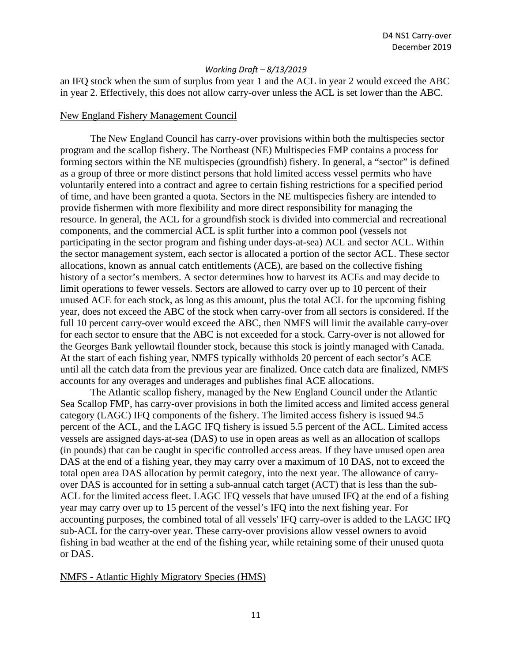an IFQ stock when the sum of surplus from year 1 and the ACL in year 2 would exceed the ABC in year 2. Effectively, this does not allow carry-over unless the ACL is set lower than the ABC.

#### New England Fishery Management Council

The New England Council has carry-over provisions within both the multispecies sector program and the scallop fishery. The Northeast (NE) Multispecies FMP contains a process for forming sectors within the NE multispecies (groundfish) fishery. In general, a "sector" is defined as a group of three or more distinct persons that hold limited access vessel permits who have voluntarily entered into a contract and agree to certain fishing restrictions for a specified period of time, and have been granted a quota. Sectors in the NE multispecies fishery are intended to provide fishermen with more flexibility and more direct responsibility for managing the resource. In general, the ACL for a groundfish stock is divided into commercial and recreational components, and the commercial ACL is split further into a common pool (vessels not participating in the sector program and fishing under days-at-sea) ACL and sector ACL. Within the sector management system, each sector is allocated a portion of the sector ACL. These sector allocations, known as annual catch entitlements (ACE), are based on the collective fishing history of a sector's members. A sector determines how to harvest its ACEs and may decide to limit operations to fewer vessels. Sectors are allowed to carry over up to 10 percent of their unused ACE for each stock, as long as this amount, plus the total ACL for the upcoming fishing year, does not exceed the ABC of the stock when carry-over from all sectors is considered. If the full 10 percent carry-over would exceed the ABC, then NMFS will limit the available carry-over for each sector to ensure that the ABC is not exceeded for a stock. Carry-over is not allowed for the Georges Bank yellowtail flounder stock, because this stock is jointly managed with Canada. At the start of each fishing year, NMFS typically withholds 20 percent of each sector's ACE until all the catch data from the previous year are finalized. Once catch data are finalized, NMFS accounts for any overages and underages and publishes final ACE allocations.

The Atlantic scallop fishery, managed by the New England Council under the Atlantic Sea Scallop FMP, has carry-over provisions in both the limited access and limited access general category (LAGC) IFQ components of the fishery. The limited access fishery is issued 94.5 percent of the ACL, and the LAGC IFQ fishery is issued 5.5 percent of the ACL. Limited access vessels are assigned days-at-sea (DAS) to use in open areas as well as an allocation of scallops (in pounds) that can be caught in specific controlled access areas. If they have unused open area DAS at the end of a fishing year, they may carry over a maximum of 10 DAS, not to exceed the total open area DAS allocation by permit category, into the next year. The allowance of carryover DAS is accounted for in setting a sub-annual catch target (ACT) that is less than the sub-ACL for the limited access fleet. LAGC IFQ vessels that have unused IFQ at the end of a fishing year may carry over up to 15 percent of the vessel's IFQ into the next fishing year. For accounting purposes, the combined total of all vessels' IFQ carry-over is added to the LAGC IFQ sub-ACL for the carry-over year. These carry-over provisions allow vessel owners to avoid fishing in bad weather at the end of the fishing year, while retaining some of their unused quota or DAS.

#### NMFS - Atlantic Highly Migratory Species (HMS)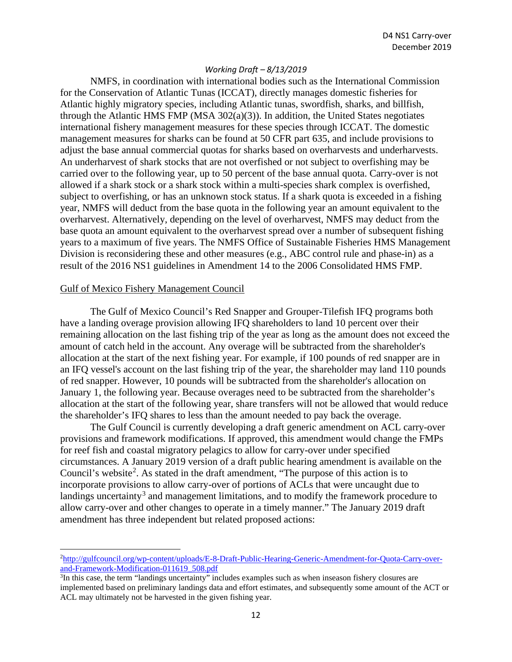NMFS, in coordination with international bodies such as the International Commission for the Conservation of Atlantic Tunas (ICCAT), directly manages domestic fisheries for Atlantic highly migratory species, including Atlantic tunas, swordfish, sharks, and billfish, through the Atlantic HMS FMP (MSA  $302(a)(3)$ ). In addition, the United States negotiates international fishery management measures for these species through ICCAT. The domestic management measures for sharks can be found at 50 CFR part 635, and include provisions to adjust the base annual commercial quotas for sharks based on overharvests and underharvests. An underharvest of shark stocks that are not overfished or not subject to overfishing may be carried over to the following year, up to 50 percent of the base annual quota. Carry-over is not allowed if a shark stock or a shark stock within a multi-species shark complex is overfished, subject to overfishing, or has an unknown stock status. If a shark quota is exceeded in a fishing year, NMFS will deduct from the base quota in the following year an amount equivalent to the overharvest. Alternatively, depending on the level of overharvest, NMFS may deduct from the base quota an amount equivalent to the overharvest spread over a number of subsequent fishing years to a maximum of five years. The NMFS Office of Sustainable Fisheries HMS Management Division is reconsidering these and other measures (e.g., ABC control rule and phase-in) as a result of the 2016 NS1 guidelines in Amendment 14 to the 2006 Consolidated HMS FMP.

## Gulf of Mexico Fishery Management Council

The Gulf of Mexico Council's Red Snapper and Grouper-Tilefish IFQ programs both have a landing overage provision allowing IFQ shareholders to land 10 percent over their remaining allocation on the last fishing trip of the year as long as the amount does not exceed the amount of catch held in the account. Any overage will be subtracted from the shareholder's allocation at the start of the next fishing year. For example, if 100 pounds of red snapper are in an IFQ vessel's account on the last fishing trip of the year, the shareholder may land 110 pounds of red snapper. However, 10 pounds will be subtracted from the shareholder's allocation on January 1, the following year. Because overages need to be subtracted from the shareholder's allocation at the start of the following year, share transfers will not be allowed that would reduce the shareholder's IFQ shares to less than the amount needed to pay back the overage.

The Gulf Council is currently developing a draft generic amendment on ACL carry-over provisions and framework modifications. If approved, this amendment would change the FMPs for reef fish and coastal migratory pelagics to allow for carry-over under specified circumstances. A January 2019 version of a draft public hearing amendment is available on the Council's website<sup>[2](#page-11-0)</sup>. As stated in the draft amendment, "The purpose of this action is to incorporate provisions to allow carry-over of portions of ACLs that were uncaught due to landings uncertainty<sup>[3](#page-11-1)</sup> and management limitations, and to modify the framework procedure to allow carry-over and other changes to operate in a timely manner." The January 2019 draft amendment has three independent but related proposed actions:

<span id="page-11-0"></span><sup>2</sup> [http://gulfcouncil.org/wp-content/uploads/E-8-Draft-Public-Hearing-Generic-Amendment-for-Quota-Carry-over](http://gulfcouncil.org/wp-content/uploads/E-8-Draft-Public-Hearing-Generic-Amendment-for-Quota-Carryover-and-Framework-Modification-011619_508.pdf)[and-Framework-Modification-011619\\_508.pdf](http://gulfcouncil.org/wp-content/uploads/E-8-Draft-Public-Hearing-Generic-Amendment-for-Quota-Carryover-and-Framework-Modification-011619_508.pdf)

<span id="page-11-1"></span><sup>3</sup> In this case, the term "landings uncertainty" includes examples such as when inseason fishery closures are implemented based on preliminary landings data and effort estimates, and subsequently some amount of the ACT or ACL may ultimately not be harvested in the given fishing year.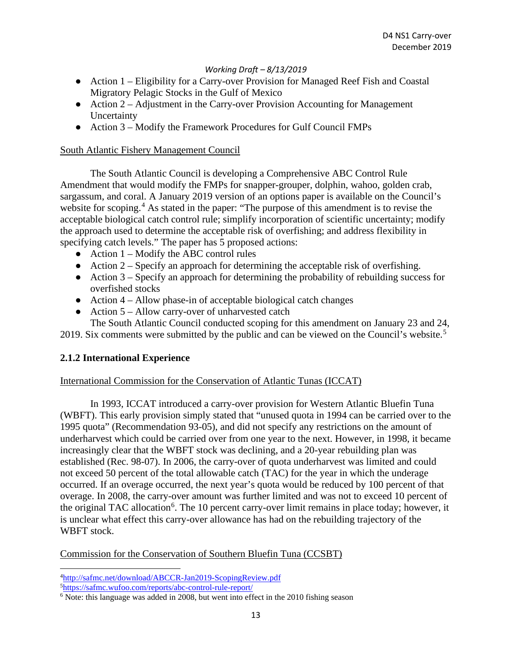- Action 1 Eligibility for a Carry-over Provision for Managed Reef Fish and Coastal Migratory Pelagic Stocks in the Gulf of Mexico
- Action 2 Adjustment in the Carry-over Provision Accounting for Management Uncertainty
- Action 3 Modify the Framework Procedures for Gulf Council FMPs

## South Atlantic Fishery Management Council

The South Atlantic Council is developing a Comprehensive ABC Control Rule Amendment that would modify the FMPs for snapper-grouper, dolphin, wahoo, golden crab, sargassum, and coral. A January 2019 version of an options paper is available on the Council's website for scoping.<sup>[4](#page-12-0)</sup> As stated in the paper: "The purpose of this amendment is to revise the acceptable biological catch control rule; simplify incorporation of scientific uncertainty; modify the approach used to determine the acceptable risk of overfishing; and address flexibility in specifying catch levels." The paper has 5 proposed actions:

- $\bullet$  Action 1 Modify the ABC control rules
- $\bullet$  Action 2 Specify an approach for determining the acceptable risk of overfishing.
- $\bullet$  Action 3 Specify an approach for determining the probability of rebuilding success for overfished stocks
- $\bullet$  Action 4 Allow phase-in of acceptable biological catch changes
- Action  $5 -$  Allow carry-over of unharvested catch

The South Atlantic Council conducted scoping for this amendment on January 23 and 24, 2019. Six comments were submitted by the public and can be viewed on the Council's website.<sup>[5](#page-12-1)</sup>

## **2.1.2 International Experience**

## International Commission for the Conservation of Atlantic Tunas (ICCAT)

In 1993, ICCAT introduced a carry-over provision for Western Atlantic Bluefin Tuna (WBFT). This early provision simply stated that "unused quota in 1994 can be carried over to the 1995 quota" (Recommendation 93-05), and did not specify any restrictions on the amount of underharvest which could be carried over from one year to the next. However, in 1998, it became increasingly clear that the WBFT stock was declining, and a 20-year rebuilding plan was established (Rec. 98-07). In 2006, the carry-over of quota underharvest was limited and could not exceed 50 percent of the total allowable catch (TAC) for the year in which the underage occurred. If an overage occurred, the next year's quota would be reduced by 100 percent of that overage. In 2008, the carry-over amount was further limited and was not to exceed 10 percent of the original TAC allocation<sup>[6](#page-12-2)</sup>. The 10 percent carry-over limit remains in place today; however, it is unclear what effect this carry-over allowance has had on the rebuilding trajectory of the WBFT stock.

Commission for the Conservation of Southern Bluefin Tuna (CCSBT)

<span id="page-12-0"></span><sup>4</sup> <http://safmc.net/download/ABCCR-Jan2019-ScopingReview.pdf>

<span id="page-12-1"></span><sup>5</sup> <https://safmc.wufoo.com/reports/abc-control-rule-report/>

<span id="page-12-2"></span><sup>&</sup>lt;sup>6</sup> Note: this language was added in 2008, but went into effect in the 2010 fishing season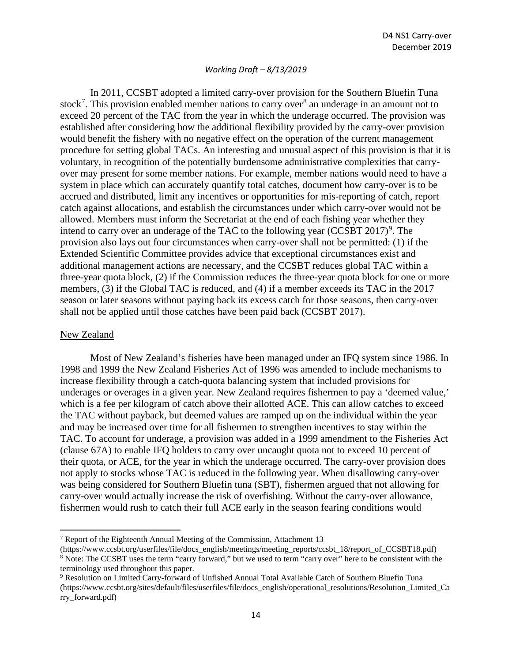In 2011, CCSBT adopted a limited carry-over provision for the Southern Bluefin Tuna stock<sup>[7](#page-13-0)</sup>. This provision enabled member nations to carry over<sup>[8](#page-13-1)</sup> an underage in an amount not to exceed 20 percent of the TAC from the year in which the underage occurred. The provision was established after considering how the additional flexibility provided by the carry-over provision would benefit the fishery with no negative effect on the operation of the current management procedure for setting global TACs. An interesting and unusual aspect of this provision is that it is voluntary, in recognition of the potentially burdensome administrative complexities that carryover may present for some member nations. For example, member nations would need to have a system in place which can accurately quantify total catches, document how carry-over is to be accrued and distributed, limit any incentives or opportunities for mis-reporting of catch, report catch against allocations, and establish the circumstances under which carry-over would not be allowed. Members must inform the Secretariat at the end of each fishing year whether they intend to carry over an underage of the TAC to the following year  $(CCSBT 2017)^9$  $(CCSBT 2017)^9$ . The provision also lays out four circumstances when carry-over shall not be permitted: (1) if the Extended Scientific Committee provides advice that exceptional circumstances exist and additional management actions are necessary, and the CCSBT reduces global TAC within a three-year quota block, (2) if the Commission reduces the three-year quota block for one or more members, (3) if the Global TAC is reduced, and (4) if a member exceeds its TAC in the 2017 season or later seasons without paying back its excess catch for those seasons, then carry-over shall not be applied until those catches have been paid back (CCSBT 2017).

#### New Zealand

Most of New Zealand's fisheries have been managed under an IFQ system since 1986. In 1998 and 1999 the New Zealand Fisheries Act of 1996 was amended to include mechanisms to increase flexibility through a catch-quota balancing system that included provisions for underages or overages in a given year. New Zealand requires fishermen to pay a 'deemed value,' which is a fee per kilogram of catch above their allotted ACE. This can allow catches to exceed the TAC without payback, but deemed values are ramped up on the individual within the year and may be increased over time for all fishermen to strengthen incentives to stay within the TAC. To account for underage, a provision was added in a 1999 amendment to the Fisheries Act (clause 67A) to enable IFQ holders to carry over uncaught quota not to exceed 10 percent of their quota, or ACE, for the year in which the underage occurred. The carry-over provision does not apply to stocks whose TAC is reduced in the following year. When disallowing carry-over was being considered for Southern Bluefin tuna (SBT), fishermen argued that not allowing for carry-over would actually increase the risk of overfishing. Without the carry-over allowance, fishermen would rush to catch their full ACE early in the season fearing conditions would

<span id="page-13-0"></span><sup>7</sup> Report of the Eighteenth Annual Meeting of the Commission, Attachment 13

<span id="page-13-1"></span><sup>(</sup>https://www.ccsbt.org/userfiles/file/docs\_english/meetings/meeting\_reports/ccsbt\_18/report\_of\_CCSBT18.pdf) <sup>8</sup> Note: The CCSBT uses the term "carry forward," but we used to term "carry over" here to be consistent with the terminology used throughout this paper.

<span id="page-13-2"></span><sup>9</sup> Resolution on Limited Carry-forward of Unfished Annual Total Available Catch of Southern Bluefin Tuna (https://www.ccsbt.org/sites/default/files/userfiles/file/docs\_english/operational\_resolutions/Resolution\_Limited\_Ca rry\_forward.pdf)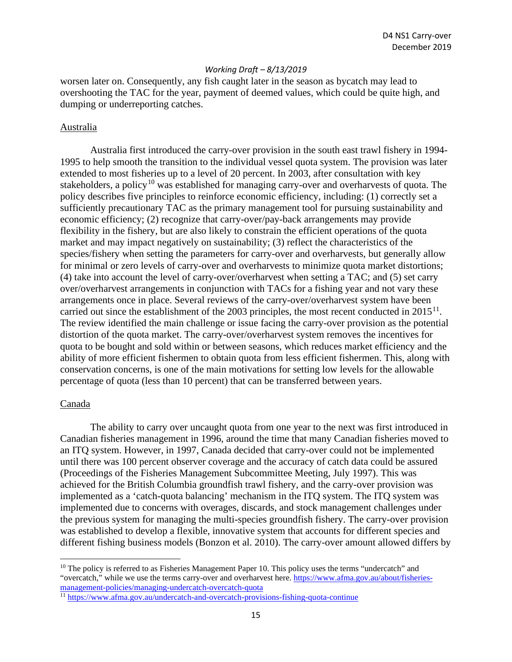worsen later on. Consequently, any fish caught later in the season as bycatch may lead to overshooting the TAC for the year, payment of deemed values, which could be quite high, and dumping or underreporting catches.

#### Australia

Australia first introduced the carry-over provision in the south east trawl fishery in 1994- 1995 to help smooth the transition to the individual vessel quota system. The provision was later extended to most fisheries up to a level of 20 percent. In 2003, after consultation with key stakeholders, a policy<sup>[10](#page-14-0)</sup> was established for managing carry-over and overharvests of quota. The policy describes five principles to reinforce economic efficiency, including: (1) correctly set a sufficiently precautionary TAC as the primary management tool for pursuing sustainability and economic efficiency; (2) recognize that carry-over/pay-back arrangements may provide flexibility in the fishery, but are also likely to constrain the efficient operations of the quota market and may impact negatively on sustainability; (3) reflect the characteristics of the species/fishery when setting the parameters for carry-over and overharvests, but generally allow for minimal or zero levels of carry-over and overharvests to minimize quota market distortions; (4) take into account the level of carry-over/overharvest when setting a TAC; and (5) set carry over/overharvest arrangements in conjunction with TACs for a fishing year and not vary these arrangements once in place. Several reviews of the carry-over/overharvest system have been carried out since the establishment of the 2003 principles, the most recent conducted in  $2015^{11}$ . The review identified the main challenge or issue facing the carry-over provision as the potential distortion of the quota market. The carry-over/overharvest system removes the incentives for quota to be bought and sold within or between seasons, which reduces market efficiency and the ability of more efficient fishermen to obtain quota from less efficient fishermen. This, along with conservation concerns, is one of the main motivations for setting low levels for the allowable percentage of quota (less than 10 percent) that can be transferred between years.

### Canada

The ability to carry over uncaught quota from one year to the next was first introduced in Canadian fisheries management in 1996, around the time that many Canadian fisheries moved to an ITQ system. However, in 1997, Canada decided that carry-over could not be implemented until there was 100 percent observer coverage and the accuracy of catch data could be assured (Proceedings of the Fisheries Management Subcommittee Meeting, July 1997). This was achieved for the British Columbia groundfish trawl fishery, and the carry-over provision was implemented as a 'catch-quota balancing' mechanism in the ITQ system. The ITQ system was implemented due to concerns with overages, discards, and stock management challenges under the previous system for managing the multi-species groundfish fishery. The carry-over provision was established to develop a flexible, innovative system that accounts for different species and different fishing business models (Bonzon et al. 2010). The carry-over amount allowed differs by

<span id="page-14-0"></span> $10$  The policy is referred to as Fisheries Management Paper 10. This policy uses the terms "undercatch" and "overcatch," while we use the terms carry-over and overharvest here. [https://www.afma.gov.au/about/fisheries](https://www.afma.gov.au/about/fisheries-management-policies/managing-undercatch-overcatch-quota)[management-policies/managing-undercatch-overcatch-quota](https://www.afma.gov.au/about/fisheries-management-policies/managing-undercatch-overcatch-quota)

<span id="page-14-1"></span><sup>11</sup> <https://www.afma.gov.au/undercatch-and-overcatch-provisions-fishing-quota-continue>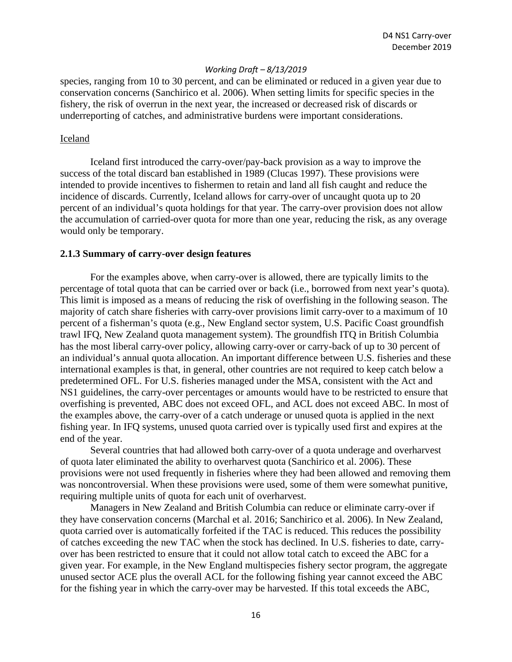species, ranging from 10 to 30 percent, and can be eliminated or reduced in a given year due to conservation concerns (Sanchirico et al. 2006). When setting limits for specific species in the fishery, the risk of overrun in the next year, the increased or decreased risk of discards or underreporting of catches, and administrative burdens were important considerations.

#### Iceland

Iceland first introduced the carry-over/pay-back provision as a way to improve the success of the total discard ban established in 1989 (Clucas 1997). These provisions were intended to provide incentives to fishermen to retain and land all fish caught and reduce the incidence of discards. Currently, Iceland allows for carry-over of uncaught quota up to 20 percent of an individual's quota holdings for that year. The carry-over provision does not allow the accumulation of carried-over quota for more than one year, reducing the risk, as any overage would only be temporary.

#### **2.1.3 Summary of carry-over design features**

For the examples above, when carry-over is allowed, there are typically limits to the percentage of total quota that can be carried over or back (i.e., borrowed from next year's quota). This limit is imposed as a means of reducing the risk of overfishing in the following season. The majority of catch share fisheries with carry-over provisions limit carry-over to a maximum of 10 percent of a fisherman's quota (e.g., New England sector system, U.S. Pacific Coast groundfish trawl IFQ, New Zealand quota management system). The groundfish ITQ in British Columbia has the most liberal carry-over policy, allowing carry-over or carry-back of up to 30 percent of an individual's annual quota allocation. An important difference between U.S. fisheries and these international examples is that, in general, other countries are not required to keep catch below a predetermined OFL. For U.S. fisheries managed under the MSA, consistent with the Act and NS1 guidelines, the carry-over percentages or amounts would have to be restricted to ensure that overfishing is prevented, ABC does not exceed OFL, and ACL does not exceed ABC. In most of the examples above, the carry-over of a catch underage or unused quota is applied in the next fishing year. In IFQ systems, unused quota carried over is typically used first and expires at the end of the year.

Several countries that had allowed both carry-over of a quota underage and overharvest of quota later eliminated the ability to overharvest quota (Sanchirico et al. 2006). These provisions were not used frequently in fisheries where they had been allowed and removing them was noncontroversial. When these provisions were used, some of them were somewhat punitive, requiring multiple units of quota for each unit of overharvest.

Managers in New Zealand and British Columbia can reduce or eliminate carry-over if they have conservation concerns (Marchal et al. 2016; Sanchirico et al. 2006). In New Zealand, quota carried over is automatically forfeited if the TAC is reduced. This reduces the possibility of catches exceeding the new TAC when the stock has declined. In U.S. fisheries to date, carryover has been restricted to ensure that it could not allow total catch to exceed the ABC for a given year. For example, in the New England multispecies fishery sector program, the aggregate unused sector ACE plus the overall ACL for the following fishing year cannot exceed the ABC for the fishing year in which the carry-over may be harvested. If this total exceeds the ABC,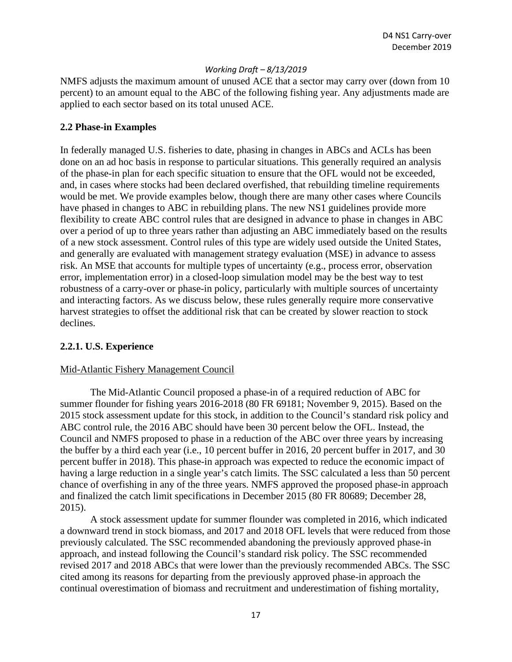NMFS adjusts the maximum amount of unused ACE that a sector may carry over (down from 10 percent) to an amount equal to the ABC of the following fishing year. Any adjustments made are applied to each sector based on its total unused ACE.

## **2.2 Phase-in Examples**

In federally managed U.S. fisheries to date, phasing in changes in ABCs and ACLs has been done on an ad hoc basis in response to particular situations. This generally required an analysis of the phase-in plan for each specific situation to ensure that the OFL would not be exceeded, and, in cases where stocks had been declared overfished, that rebuilding timeline requirements would be met. We provide examples below, though there are many other cases where Councils have phased in changes to ABC in rebuilding plans. The new NS1 guidelines provide more flexibility to create ABC control rules that are designed in advance to phase in changes in ABC over a period of up to three years rather than adjusting an ABC immediately based on the results of a new stock assessment. Control rules of this type are widely used outside the United States, and generally are evaluated with management strategy evaluation (MSE) in advance to assess risk. An MSE that accounts for multiple types of uncertainty (e.g., process error, observation error, implementation error) in a closed-loop simulation model may be the best way to test robustness of a carry-over or phase-in policy, particularly with multiple sources of uncertainty and interacting factors. As we discuss below, these rules generally require more conservative harvest strategies to offset the additional risk that can be created by slower reaction to stock declines.

## **2.2.1. U.S. Experience**

## Mid-Atlantic Fishery Management Council

The Mid-Atlantic Council proposed a phase-in of a required reduction of ABC for summer flounder for fishing years 2016-2018 (80 FR 69181; November 9, 2015). Based on the 2015 stock assessment update for this stock, in addition to the Council's standard risk policy and ABC control rule, the 2016 ABC should have been 30 percent below the OFL. Instead, the Council and NMFS proposed to phase in a reduction of the ABC over three years by increasing the buffer by a third each year (i.e., 10 percent buffer in 2016, 20 percent buffer in 2017, and 30 percent buffer in 2018). This phase-in approach was expected to reduce the economic impact of having a large reduction in a single year's catch limits. The SSC calculated a less than 50 percent chance of overfishing in any of the three years. NMFS approved the proposed phase-in approach and finalized the catch limit specifications in December 2015 (80 FR 80689; December 28, 2015).

A stock assessment update for summer flounder was completed in 2016, which indicated a downward trend in stock biomass, and 2017 and 2018 OFL levels that were reduced from those previously calculated. The SSC recommended abandoning the previously approved phase-in approach, and instead following the Council's standard risk policy. The SSC recommended revised 2017 and 2018 ABCs that were lower than the previously recommended ABCs. The SSC cited among its reasons for departing from the previously approved phase-in approach the continual overestimation of biomass and recruitment and underestimation of fishing mortality,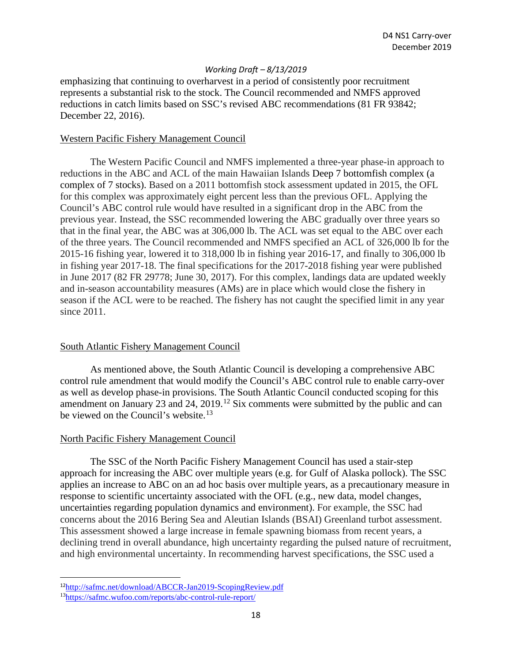emphasizing that continuing to overharvest in a period of consistently poor recruitment represents a substantial risk to the stock. The Council recommended and NMFS approved reductions in catch limits based on SSC's revised ABC recommendations (81 FR 93842; December 22, 2016).

#### Western Pacific Fishery Management Council

The Western Pacific Council and NMFS implemented a three-year phase-in approach to reductions in the ABC and ACL of the main Hawaiian Islands Deep 7 bottomfish complex (a complex of 7 stocks). Based on a 2011 bottomfish stock assessment updated in 2015, the OFL for this complex was approximately eight percent less than the previous OFL. Applying the Council's ABC control rule would have resulted in a significant drop in the ABC from the previous year. Instead, the SSC recommended lowering the ABC gradually over three years so that in the final year, the ABC was at 306,000 lb. The ACL was set equal to the ABC over each of the three years. The Council recommended and NMFS specified an ACL of 326,000 lb for the 2015-16 fishing year, lowered it to 318,000 lb in fishing year 2016-17, and finally to 306,000 lb in fishing year 2017-18. The final specifications for the 2017-2018 fishing year were published in June 2017 (82 FR 29778; June 30, 2017). For this complex, landings data are updated weekly and in-season accountability measures (AMs) are in place which would close the fishery in season if the ACL were to be reached. The fishery has not caught the specified limit in any year since 2011.

#### South Atlantic Fishery Management Council

As mentioned above, the South Atlantic Council is developing a comprehensive ABC control rule amendment that would modify the Council's ABC control rule to enable carry-over as well as develop phase-in provisions. The South Atlantic Council conducted scoping for this amendment on January 23 and 24, 2019.<sup>[12](#page-17-0)</sup> Six comments were submitted by the public and can be viewed on the Council's website.<sup>[13](#page-17-1)</sup>

#### North Pacific Fishery Management Council

The SSC of the North Pacific Fishery Management Council has used a stair-step approach for increasing the ABC over multiple years (e.g. for Gulf of Alaska pollock). The SSC applies an increase to ABC on an ad hoc basis over multiple years, as a precautionary measure in response to scientific uncertainty associated with the OFL (e.g., new data, model changes, uncertainties regarding population dynamics and environment). For example, the SSC had concerns about the 2016 Bering Sea and Aleutian Islands (BSAI) Greenland turbot assessment. This assessment showed a large increase in female spawning biomass from recent years, a declining trend in overall abundance, high uncertainty regarding the pulsed nature of recruitment, and high environmental uncertainty. In recommending harvest specifications, the SSC used a

<span id="page-17-0"></span><sup>12</sup><http://safmc.net/download/ABCCR-Jan2019-ScopingReview.pdf>

<span id="page-17-1"></span><sup>1</sup>[3https://safmc.wufoo.com/reports/abc-control-rule-report/](https://safmc.wufoo.com/reports/abc-control-rule-report/)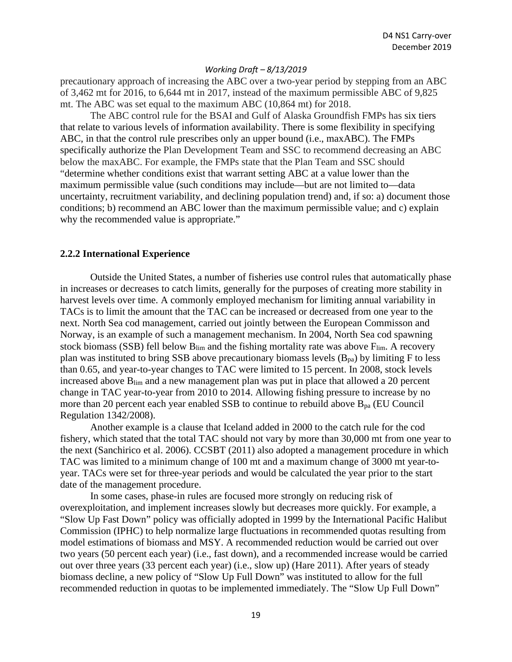precautionary approach of increasing the ABC over a two-year period by stepping from an ABC of 3,462 mt for 2016, to 6,644 mt in 2017, instead of the maximum permissible ABC of 9,825 mt. The ABC was set equal to the maximum ABC (10,864 mt) for 2018.

The ABC control rule for the BSAI and Gulf of Alaska Groundfish FMPs has six tiers that relate to various levels of information availability. There is some flexibility in specifying ABC, in that the control rule prescribes only an upper bound (i.e., maxABC). The FMPs specifically authorize the Plan Development Team and SSC to recommend decreasing an ABC below the maxABC. For example, the FMPs state that the Plan Team and SSC should "determine whether conditions exist that warrant setting ABC at a value lower than the maximum permissible value (such conditions may include—but are not limited to—data uncertainty, recruitment variability, and declining population trend) and, if so: a) document those conditions; b) recommend an ABC lower than the maximum permissible value; and c) explain why the recommended value is appropriate."

#### **2.2.2 International Experience**

Outside the United States, a number of fisheries use control rules that automatically phase in increases or decreases to catch limits, generally for the purposes of creating more stability in harvest levels over time. A commonly employed mechanism for limiting annual variability in TACs is to limit the amount that the TAC can be increased or decreased from one year to the next. North Sea cod management, carried out jointly between the European Commisson and Norway, is an example of such a management mechanism. In 2004, North Sea cod spawning stock biomass (SSB) fell below  $B_{\text{lim}}$  and the fishing mortality rate was above  $F_{\text{lim}}$ . A recovery plan was instituted to bring SSB above precautionary biomass levels  $(B_{pa})$  by limiting F to less than 0.65, and year-to-year changes to TAC were limited to 15 percent. In 2008, stock levels increased above  $B_{lim}$  and a new management plan was put in place that allowed a 20 percent change in TAC year-to-year from 2010 to 2014. Allowing fishing pressure to increase by no more than 20 percent each year enabled SSB to continue to rebuild above  $B_{pa}$  (EU Council Regulation 1342/2008).

Another example is a clause that Iceland added in 2000 to the catch rule for the cod fishery, which stated that the total TAC should not vary by more than 30,000 mt from one year to the next (Sanchirico et al. 2006). CCSBT (2011) also adopted a management procedure in which TAC was limited to a minimum change of 100 mt and a maximum change of 3000 mt year-toyear. TACs were set for three-year periods and would be calculated the year prior to the start date of the management procedure.

In some cases, phase-in rules are focused more strongly on reducing risk of overexploitation, and implement increases slowly but decreases more quickly. For example, a "Slow Up Fast Down" policy was officially adopted in 1999 by the International Pacific Halibut Commission (IPHC) to help normalize large fluctuations in recommended quotas resulting from model estimations of biomass and MSY. A recommended reduction would be carried out over two years (50 percent each year) (i.e., fast down), and a recommended increase would be carried out over three years (33 percent each year) (i.e., slow up) (Hare 2011). After years of steady biomass decline, a new policy of "Slow Up Full Down" was instituted to allow for the full recommended reduction in quotas to be implemented immediately. The "Slow Up Full Down"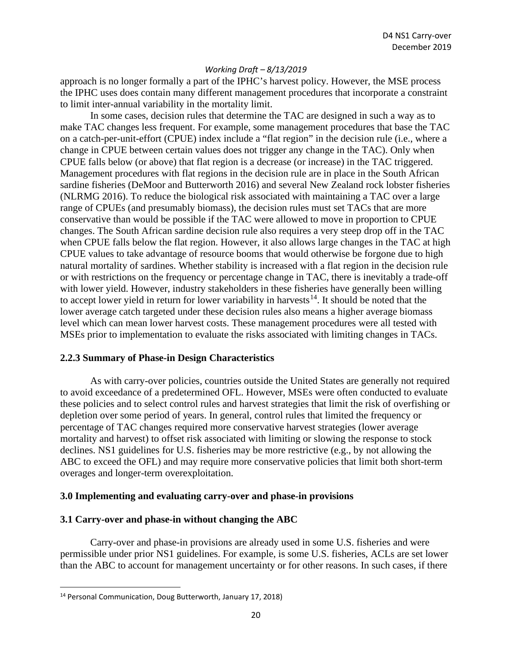approach is no longer formally a part of the IPHC's harvest policy. However, the MSE process the IPHC uses does contain many different management procedures that incorporate a constraint to limit inter-annual variability in the mortality limit.

In some cases, decision rules that determine the TAC are designed in such a way as to make TAC changes less frequent. For example, some management procedures that base the TAC on a catch-per-unit-effort (CPUE) index include a "flat region" in the decision rule (i.e., where a change in CPUE between certain values does not trigger any change in the TAC). Only when CPUE falls below (or above) that flat region is a decrease (or increase) in the TAC triggered. Management procedures with flat regions in the decision rule are in place in the South African sardine fisheries (DeMoor and Butterworth 2016) and several New Zealand rock lobster fisheries (NLRMG 2016). To reduce the biological risk associated with maintaining a TAC over a large range of CPUEs (and presumably biomass), the decision rules must set TACs that are more conservative than would be possible if the TAC were allowed to move in proportion to CPUE changes. The South African sardine decision rule also requires a very steep drop off in the TAC when CPUE falls below the flat region. However, it also allows large changes in the TAC at high CPUE values to take advantage of resource booms that would otherwise be forgone due to high natural mortality of sardines. Whether stability is increased with a flat region in the decision rule or with restrictions on the frequency or percentage change in TAC, there is inevitably a trade-off with lower yield. However, industry stakeholders in these fisheries have generally been willing to accept lower yield in return for lower variability in harvests<sup>[14](#page-19-0)</sup>. It should be noted that the lower average catch targeted under these decision rules also means a higher average biomass level which can mean lower harvest costs. These management procedures were all tested with MSEs prior to implementation to evaluate the risks associated with limiting changes in TACs.

#### **2.2.3 Summary of Phase-in Design Characteristics**

As with carry-over policies, countries outside the United States are generally not required to avoid exceedance of a predetermined OFL. However, MSEs were often conducted to evaluate these policies and to select control rules and harvest strategies that limit the risk of overfishing or depletion over some period of years. In general, control rules that limited the frequency or percentage of TAC changes required more conservative harvest strategies (lower average mortality and harvest) to offset risk associated with limiting or slowing the response to stock declines. NS1 guidelines for U.S. fisheries may be more restrictive (e.g., by not allowing the ABC to exceed the OFL) and may require more conservative policies that limit both short-term overages and longer-term overexploitation.

## **3.0 Implementing and evaluating carry-over and phase-in provisions**

## **3.1 Carry-over and phase-in without changing the ABC**

Carry-over and phase-in provisions are already used in some U.S. fisheries and were permissible under prior NS1 guidelines. For example, is some U.S. fisheries, ACLs are set lower than the ABC to account for management uncertainty or for other reasons. In such cases, if there

<span id="page-19-0"></span><sup>14</sup> Personal Communication, Doug Butterworth, January 17, 2018)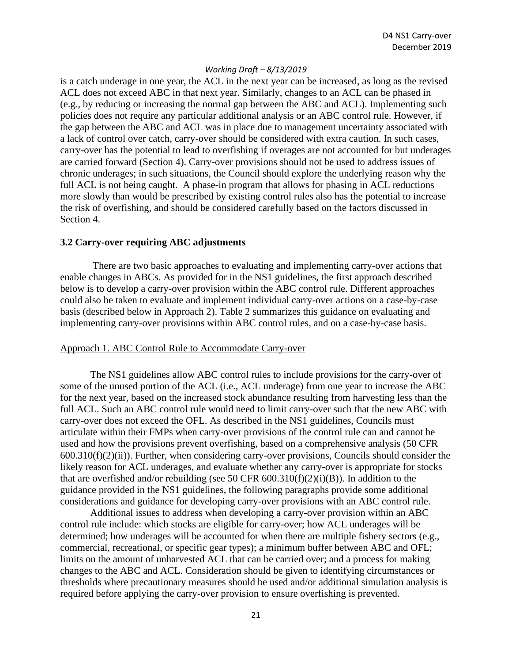is a catch underage in one year, the ACL in the next year can be increased, as long as the revised ACL does not exceed ABC in that next year. Similarly, changes to an ACL can be phased in (e.g., by reducing or increasing the normal gap between the ABC and ACL). Implementing such policies does not require any particular additional analysis or an ABC control rule. However, if the gap between the ABC and ACL was in place due to management uncertainty associated with a lack of control over catch, carry-over should be considered with extra caution. In such cases, carry-over has the potential to lead to overfishing if overages are not accounted for but underages are carried forward (Section 4). Carry-over provisions should not be used to address issues of chronic underages; in such situations, the Council should explore the underlying reason why the full ACL is not being caught. A phase-in program that allows for phasing in ACL reductions more slowly than would be prescribed by existing control rules also has the potential to increase the risk of overfishing, and should be considered carefully based on the factors discussed in Section 4.

#### **3.2 Carry-over requiring ABC adjustments**

There are two basic approaches to evaluating and implementing carry-over actions that enable changes in ABCs. As provided for in the NS1 guidelines, the first approach described below is to develop a carry-over provision within the ABC control rule. Different approaches could also be taken to evaluate and implement individual carry-over actions on a case-by-case basis (described below in Approach 2). Table 2 summarizes this guidance on evaluating and implementing carry-over provisions within ABC control rules, and on a case-by-case basis.

#### Approach 1. ABC Control Rule to Accommodate Carry-over

The NS1 guidelines allow ABC control rules to include provisions for the carry-over of some of the unused portion of the ACL (i.e., ACL underage) from one year to increase the ABC for the next year, based on the increased stock abundance resulting from harvesting less than the full ACL. Such an ABC control rule would need to limit carry-over such that the new ABC with carry-over does not exceed the OFL. As described in the NS1 guidelines, Councils must articulate within their FMPs when carry-over provisions of the control rule can and cannot be used and how the provisions prevent overfishing, based on a comprehensive analysis (50 CFR 600.310(f)(2)(ii)). Further, when considering carry-over provisions, Councils should consider the likely reason for ACL underages, and evaluate whether any carry-over is appropriate for stocks that are overfished and/or rebuilding (see 50 CFR  $600.310(f)(2)(i)(B)$ ). In addition to the guidance provided in the NS1 guidelines, the following paragraphs provide some additional considerations and guidance for developing carry-over provisions with an ABC control rule.

Additional issues to address when developing a carry-over provision within an ABC control rule include: which stocks are eligible for carry-over; how ACL underages will be determined; how underages will be accounted for when there are multiple fishery sectors (e.g., commercial, recreational, or specific gear types); a minimum buffer between ABC and OFL; limits on the amount of unharvested ACL that can be carried over; and a process for making changes to the ABC and ACL. Consideration should be given to identifying circumstances or thresholds where precautionary measures should be used and/or additional simulation analysis is required before applying the carry-over provision to ensure overfishing is prevented.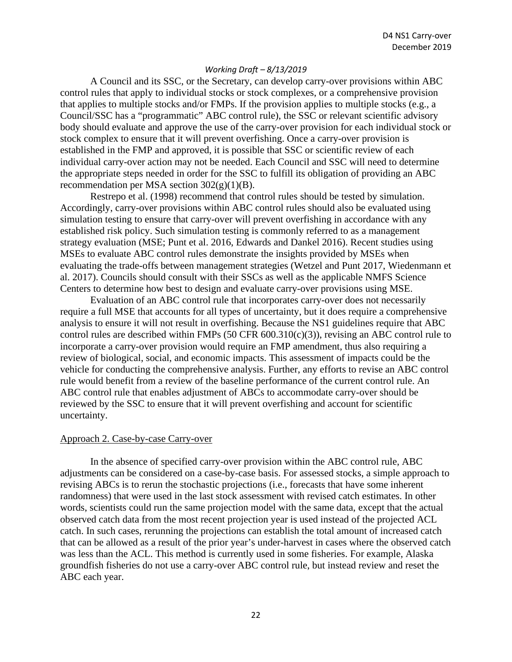A Council and its SSC, or the Secretary, can develop carry-over provisions within ABC control rules that apply to individual stocks or stock complexes, or a comprehensive provision that applies to multiple stocks and/or FMPs. If the provision applies to multiple stocks (e.g., a Council/SSC has a "programmatic" ABC control rule), the SSC or relevant scientific advisory body should evaluate and approve the use of the carry-over provision for each individual stock or stock complex to ensure that it will prevent overfishing. Once a carry-over provision is established in the FMP and approved, it is possible that SSC or scientific review of each individual carry-over action may not be needed. Each Council and SSC will need to determine the appropriate steps needed in order for the SSC to fulfill its obligation of providing an ABC recommendation per MSA section  $302(g)(1)(B)$ .

Restrepo et al. (1998) recommend that control rules should be tested by simulation. Accordingly, carry-over provisions within ABC control rules should also be evaluated using simulation testing to ensure that carry-over will prevent overfishing in accordance with any established risk policy. Such simulation testing is commonly referred to as a management strategy evaluation (MSE; Punt et al. 2016, Edwards and Dankel 2016). Recent studies using MSEs to evaluate ABC control rules demonstrate the insights provided by MSEs when evaluating the trade-offs between management strategies (Wetzel and Punt 2017, Wiedenmann et al. 2017). Councils should consult with their SSCs as well as the applicable NMFS Science Centers to determine how best to design and evaluate carry-over provisions using MSE.

Evaluation of an ABC control rule that incorporates carry-over does not necessarily require a full MSE that accounts for all types of uncertainty, but it does require a comprehensive analysis to ensure it will not result in overfishing. Because the NS1 guidelines require that ABC control rules are described within FMPs (50 CFR  $600.310(c)(3)$ ), revising an ABC control rule to incorporate a carry-over provision would require an FMP amendment, thus also requiring a review of biological, social, and economic impacts. This assessment of impacts could be the vehicle for conducting the comprehensive analysis. Further, any efforts to revise an ABC control rule would benefit from a review of the baseline performance of the current control rule. An ABC control rule that enables adjustment of ABCs to accommodate carry-over should be reviewed by the SSC to ensure that it will prevent overfishing and account for scientific uncertainty.

#### Approach 2. Case-by-case Carry-over

In the absence of specified carry-over provision within the ABC control rule, ABC adjustments can be considered on a case-by-case basis. For assessed stocks, a simple approach to revising ABCs is to rerun the stochastic projections (i.e., forecasts that have some inherent randomness) that were used in the last stock assessment with revised catch estimates. In other words, scientists could run the same projection model with the same data, except that the actual observed catch data from the most recent projection year is used instead of the projected ACL catch. In such cases, rerunning the projections can establish the total amount of increased catch that can be allowed as a result of the prior year's under-harvest in cases where the observed catch was less than the ACL. This method is currently used in some fisheries. For example, Alaska groundfish fisheries do not use a carry-over ABC control rule, but instead review and reset the ABC each year.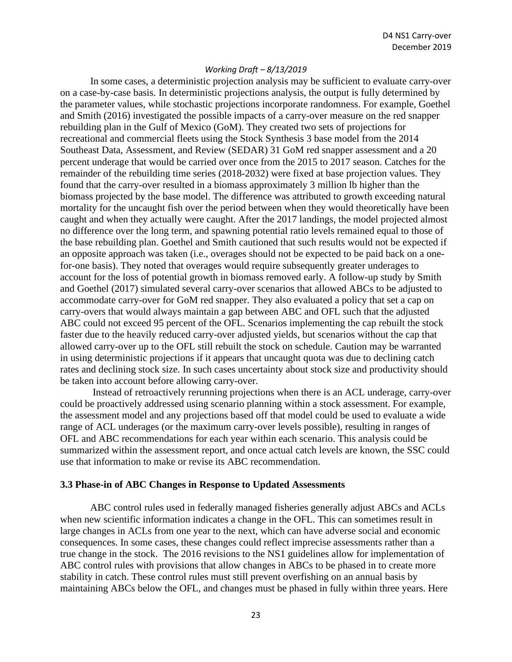In some cases, a deterministic projection analysis may be sufficient to evaluate carry-over on a case-by-case basis. In deterministic projections analysis, the output is fully determined by the parameter values, while stochastic projections incorporate randomness. For example, Goethel and Smith (2016) investigated the possible impacts of a carry-over measure on the red snapper rebuilding plan in the Gulf of Mexico (GoM). They created two sets of projections for recreational and commercial fleets using the Stock Synthesis 3 base model from the 2014 Southeast Data, Assessment, and Review (SEDAR) 31 GoM red snapper assessment and a 20 percent underage that would be carried over once from the 2015 to 2017 season. Catches for the remainder of the rebuilding time series (2018-2032) were fixed at base projection values. They found that the carry-over resulted in a biomass approximately 3 million lb higher than the biomass projected by the base model. The difference was attributed to growth exceeding natural mortality for the uncaught fish over the period between when they would theoretically have been caught and when they actually were caught. After the 2017 landings, the model projected almost no difference over the long term, and spawning potential ratio levels remained equal to those of the base rebuilding plan. Goethel and Smith cautioned that such results would not be expected if an opposite approach was taken (i.e., overages should not be expected to be paid back on a onefor-one basis). They noted that overages would require subsequently greater underages to account for the loss of potential growth in biomass removed early. A follow-up study by Smith and Goethel (2017) simulated several carry-over scenarios that allowed ABCs to be adjusted to accommodate carry-over for GoM red snapper. They also evaluated a policy that set a cap on carry-overs that would always maintain a gap between ABC and OFL such that the adjusted ABC could not exceed 95 percent of the OFL. Scenarios implementing the cap rebuilt the stock faster due to the heavily reduced carry-over adjusted yields, but scenarios without the cap that allowed carry-over up to the OFL still rebuilt the stock on schedule. Caution may be warranted in using deterministic projections if it appears that uncaught quota was due to declining catch rates and declining stock size. In such cases uncertainty about stock size and productivity should be taken into account before allowing carry-over.

Instead of retroactively rerunning projections when there is an ACL underage, carry-over could be proactively addressed using scenario planning within a stock assessment. For example, the assessment model and any projections based off that model could be used to evaluate a wide range of ACL underages (or the maximum carry-over levels possible), resulting in ranges of OFL and ABC recommendations for each year within each scenario. This analysis could be summarized within the assessment report, and once actual catch levels are known, the SSC could use that information to make or revise its ABC recommendation.

#### **3.3 Phase-in of ABC Changes in Response to Updated Assessments**

ABC control rules used in federally managed fisheries generally adjust ABCs and ACLs when new scientific information indicates a change in the OFL. This can sometimes result in large changes in ACLs from one year to the next, which can have adverse social and economic consequences. In some cases, these changes could reflect imprecise assessments rather than a true change in the stock. The 2016 revisions to the NS1 guidelines allow for implementation of ABC control rules with provisions that allow changes in ABCs to be phased in to create more stability in catch. These control rules must still prevent overfishing on an annual basis by maintaining ABCs below the OFL, and changes must be phased in fully within three years. Here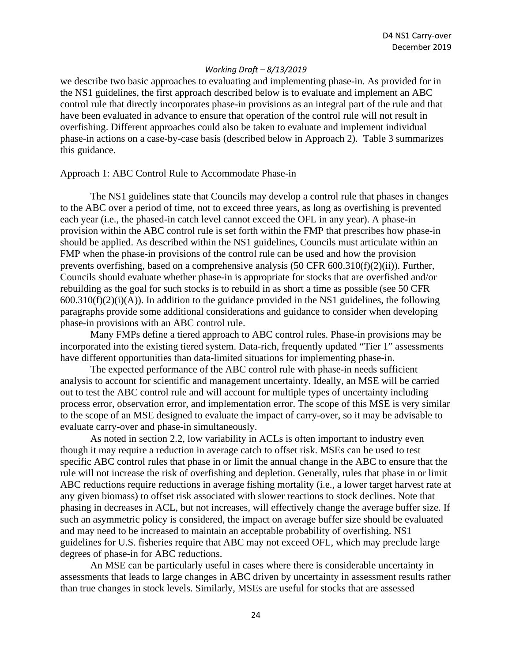we describe two basic approaches to evaluating and implementing phase-in. As provided for in the NS1 guidelines, the first approach described below is to evaluate and implement an ABC control rule that directly incorporates phase-in provisions as an integral part of the rule and that have been evaluated in advance to ensure that operation of the control rule will not result in overfishing. Different approaches could also be taken to evaluate and implement individual phase-in actions on a case-by-case basis (described below in Approach 2). Table 3 summarizes this guidance.

#### Approach 1: ABC Control Rule to Accommodate Phase-in

The NS1 guidelines state that Councils may develop a control rule that phases in changes to the ABC over a period of time, not to exceed three years, as long as overfishing is prevented each year (i.e., the phased-in catch level cannot exceed the OFL in any year). A phase-in provision within the ABC control rule is set forth within the FMP that prescribes how phase-in should be applied. As described within the NS1 guidelines, Councils must articulate within an FMP when the phase-in provisions of the control rule can be used and how the provision prevents overfishing, based on a comprehensive analysis (50 CFR 600.310(f)(2)(ii)). Further, Councils should evaluate whether phase-in is appropriate for stocks that are overfished and/or rebuilding as the goal for such stocks is to rebuild in as short a time as possible (see 50 CFR  $600.310(f)(2)(i)(A)$ ). In addition to the guidance provided in the NS1 guidelines, the following paragraphs provide some additional considerations and guidance to consider when developing phase-in provisions with an ABC control rule.

Many FMPs define a tiered approach to ABC control rules. Phase-in provisions may be incorporated into the existing tiered system. Data-rich, frequently updated "Tier 1" assessments have different opportunities than data-limited situations for implementing phase-in.

The expected performance of the ABC control rule with phase-in needs sufficient analysis to account for scientific and management uncertainty. Ideally, an MSE will be carried out to test the ABC control rule and will account for multiple types of uncertainty including process error, observation error, and implementation error. The scope of this MSE is very similar to the scope of an MSE designed to evaluate the impact of carry-over, so it may be advisable to evaluate carry-over and phase-in simultaneously.

As noted in section 2.2, low variability in ACLs is often important to industry even though it may require a reduction in average catch to offset risk. MSEs can be used to test specific ABC control rules that phase in or limit the annual change in the ABC to ensure that the rule will not increase the risk of overfishing and depletion. Generally, rules that phase in or limit ABC reductions require reductions in average fishing mortality (i.e., a lower target harvest rate at any given biomass) to offset risk associated with slower reactions to stock declines. Note that phasing in decreases in ACL, but not increases, will effectively change the average buffer size. If such an asymmetric policy is considered, the impact on average buffer size should be evaluated and may need to be increased to maintain an acceptable probability of overfishing. NS1 guidelines for U.S. fisheries require that ABC may not exceed OFL, which may preclude large degrees of phase-in for ABC reductions.

An MSE can be particularly useful in cases where there is considerable uncertainty in assessments that leads to large changes in ABC driven by uncertainty in assessment results rather than true changes in stock levels. Similarly, MSEs are useful for stocks that are assessed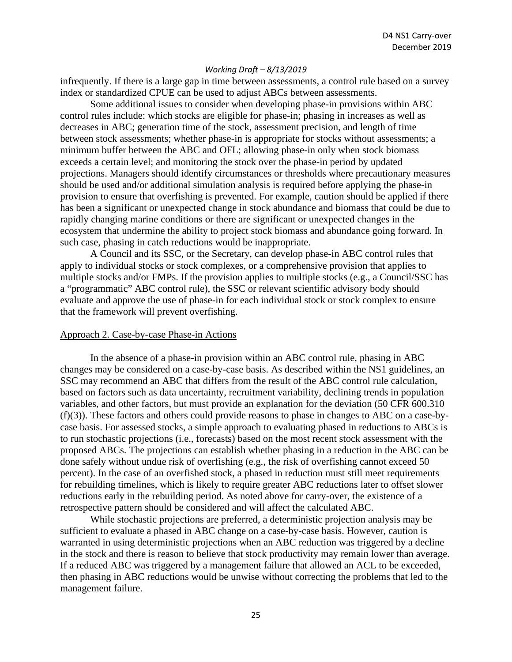infrequently. If there is a large gap in time between assessments, a control rule based on a survey index or standardized CPUE can be used to adjust ABCs between assessments.

Some additional issues to consider when developing phase-in provisions within ABC control rules include: which stocks are eligible for phase-in; phasing in increases as well as decreases in ABC; generation time of the stock, assessment precision, and length of time between stock assessments; whether phase-in is appropriate for stocks without assessments; a minimum buffer between the ABC and OFL; allowing phase-in only when stock biomass exceeds a certain level; and monitoring the stock over the phase-in period by updated projections. Managers should identify circumstances or thresholds where precautionary measures should be used and/or additional simulation analysis is required before applying the phase-in provision to ensure that overfishing is prevented. For example, caution should be applied if there has been a significant or unexpected change in stock abundance and biomass that could be due to rapidly changing marine conditions or there are significant or unexpected changes in the ecosystem that undermine the ability to project stock biomass and abundance going forward. In such case, phasing in catch reductions would be inappropriate.

A Council and its SSC, or the Secretary, can develop phase-in ABC control rules that apply to individual stocks or stock complexes, or a comprehensive provision that applies to multiple stocks and/or FMPs. If the provision applies to multiple stocks (e.g., a Council/SSC has a "programmatic" ABC control rule), the SSC or relevant scientific advisory body should evaluate and approve the use of phase-in for each individual stock or stock complex to ensure that the framework will prevent overfishing.

#### Approach 2. Case-by-case Phase-in Actions

In the absence of a phase-in provision within an ABC control rule, phasing in ABC changes may be considered on a case-by-case basis. As described within the NS1 guidelines, an SSC may recommend an ABC that differs from the result of the ABC control rule calculation, based on factors such as data uncertainty, recruitment variability, declining trends in population variables, and other factors, but must provide an explanation for the deviation (50 CFR 600.310 (f)(3)). These factors and others could provide reasons to phase in changes to ABC on a case-bycase basis. For assessed stocks, a simple approach to evaluating phased in reductions to ABCs is to run stochastic projections (i.e., forecasts) based on the most recent stock assessment with the proposed ABCs. The projections can establish whether phasing in a reduction in the ABC can be done safely without undue risk of overfishing (e.g., the risk of overfishing cannot exceed 50 percent). In the case of an overfished stock, a phased in reduction must still meet requirements for rebuilding timelines, which is likely to require greater ABC reductions later to offset slower reductions early in the rebuilding period. As noted above for carry-over, the existence of a retrospective pattern should be considered and will affect the calculated ABC.

While stochastic projections are preferred, a deterministic projection analysis may be sufficient to evaluate a phased in ABC change on a case-by-case basis. However, caution is warranted in using deterministic projections when an ABC reduction was triggered by a decline in the stock and there is reason to believe that stock productivity may remain lower than average. If a reduced ABC was triggered by a management failure that allowed an ACL to be exceeded, then phasing in ABC reductions would be unwise without correcting the problems that led to the management failure.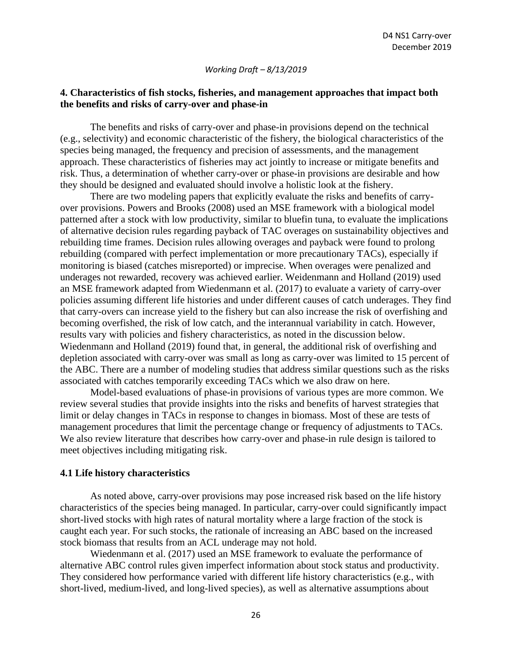## **4. Characteristics of fish stocks, fisheries, and management approaches that impact both the benefits and risks of carry-over and phase-in**

The benefits and risks of carry-over and phase-in provisions depend on the technical (e.g., selectivity) and economic characteristic of the fishery, the biological characteristics of the species being managed, the frequency and precision of assessments, and the management approach. These characteristics of fisheries may act jointly to increase or mitigate benefits and risk. Thus, a determination of whether carry-over or phase-in provisions are desirable and how they should be designed and evaluated should involve a holistic look at the fishery.

There are two modeling papers that explicitly evaluate the risks and benefits of carryover provisions. Powers and Brooks (2008) used an MSE framework with a biological model patterned after a stock with low productivity, similar to bluefin tuna, to evaluate the implications of alternative decision rules regarding payback of TAC overages on sustainability objectives and rebuilding time frames. Decision rules allowing overages and payback were found to prolong rebuilding (compared with perfect implementation or more precautionary TACs), especially if monitoring is biased (catches misreported) or imprecise. When overages were penalized and underages not rewarded, recovery was achieved earlier. Weidenmann and Holland (2019) used an MSE framework adapted from Wiedenmann et al. (2017) to evaluate a variety of carry-over policies assuming different life histories and under different causes of catch underages. They find that carry-overs can increase yield to the fishery but can also increase the risk of overfishing and becoming overfished, the risk of low catch, and the interannual variability in catch. However, results vary with policies and fishery characteristics, as noted in the discussion below. Wiedenmann and Holland (2019) found that, in general, the additional risk of overfishing and depletion associated with carry-over was small as long as carry-over was limited to 15 percent of the ABC. There are a number of modeling studies that address similar questions such as the risks associated with catches temporarily exceeding TACs which we also draw on here.

Model-based evaluations of phase-in provisions of various types are more common. We review several studies that provide insights into the risks and benefits of harvest strategies that limit or delay changes in TACs in response to changes in biomass. Most of these are tests of management procedures that limit the percentage change or frequency of adjustments to TACs. We also review literature that describes how carry-over and phase-in rule design is tailored to meet objectives including mitigating risk.

#### **4.1 Life history characteristics**

As noted above, carry-over provisions may pose increased risk based on the life history characteristics of the species being managed. In particular, carry-over could significantly impact short-lived stocks with high rates of natural mortality where a large fraction of the stock is caught each year. For such stocks, the rationale of increasing an ABC based on the increased stock biomass that results from an ACL underage may not hold.

Wiedenmann et al. (2017) used an MSE framework to evaluate the performance of alternative ABC control rules given imperfect information about stock status and productivity. They considered how performance varied with different life history characteristics (e.g., with short-lived, medium-lived, and long-lived species), as well as alternative assumptions about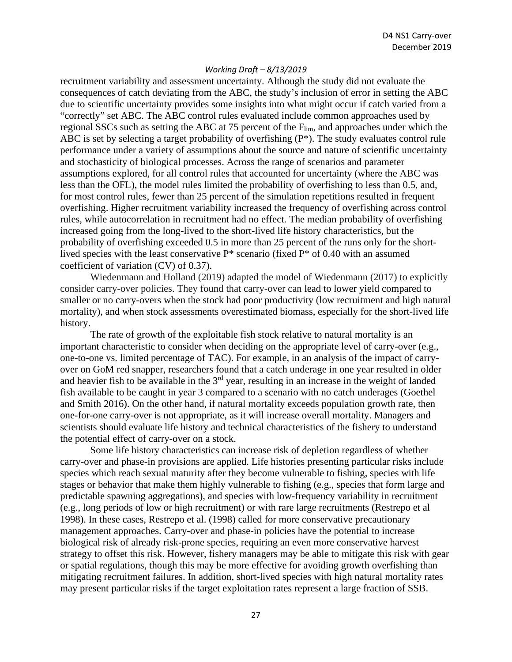recruitment variability and assessment uncertainty. Although the study did not evaluate the consequences of catch deviating from the ABC, the study's inclusion of error in setting the ABC due to scientific uncertainty provides some insights into what might occur if catch varied from a "correctly" set ABC. The ABC control rules evaluated include common approaches used by regional SSCs such as setting the ABC at 75 percent of the F<sub>lim</sub>, and approaches under which the ABC is set by selecting a target probability of overfishing (P\*). The study evaluates control rule performance under a variety of assumptions about the source and nature of scientific uncertainty and stochasticity of biological processes. Across the range of scenarios and parameter assumptions explored, for all control rules that accounted for uncertainty (where the ABC was less than the OFL), the model rules limited the probability of overfishing to less than 0.5, and, for most control rules, fewer than 25 percent of the simulation repetitions resulted in frequent overfishing. Higher recruitment variability increased the frequency of overfishing across control rules, while autocorrelation in recruitment had no effect. The median probability of overfishing increased going from the long-lived to the short-lived life history characteristics, but the probability of overfishing exceeded 0.5 in more than 25 percent of the runs only for the shortlived species with the least conservative  $P^*$  scenario (fixed  $P^*$  of 0.40 with an assumed coefficient of variation (CV) of 0.37).

Wiedenmann and Holland (2019) adapted the model of Wiedenmann (2017) to explicitly consider carry-over policies. They found that carry-over can lead to lower yield compared to smaller or no carry-overs when the stock had poor productivity (low recruitment and high natural mortality), and when stock assessments overestimated biomass, especially for the short-lived life history.

The rate of growth of the exploitable fish stock relative to natural mortality is an important characteristic to consider when deciding on the appropriate level of carry-over (e.g., one-to-one vs. limited percentage of TAC). For example, in an analysis of the impact of carryover on GoM red snapper, researchers found that a catch underage in one year resulted in older and heavier fish to be available in the 3<sup>rd</sup> year, resulting in an increase in the weight of landed fish available to be caught in year 3 compared to a scenario with no catch underages (Goethel and Smith 2016). On the other hand, if natural mortality exceeds population growth rate, then one-for-one carry-over is not appropriate, as it will increase overall mortality. Managers and scientists should evaluate life history and technical characteristics of the fishery to understand the potential effect of carry-over on a stock.

Some life history characteristics can increase risk of depletion regardless of whether carry-over and phase-in provisions are applied. Life histories presenting particular risks include species which reach sexual maturity after they become vulnerable to fishing, species with life stages or behavior that make them highly vulnerable to fishing (e.g., species that form large and predictable spawning aggregations), and species with low-frequency variability in recruitment (e.g., long periods of low or high recruitment) or with rare large recruitments (Restrepo et al 1998). In these cases, Restrepo et al. (1998) called for more conservative precautionary management approaches. Carry-over and phase-in policies have the potential to increase biological risk of already risk-prone species, requiring an even more conservative harvest strategy to offset this risk. However, fishery managers may be able to mitigate this risk with gear or spatial regulations, though this may be more effective for avoiding growth overfishing than mitigating recruitment failures. In addition, short-lived species with high natural mortality rates may present particular risks if the target exploitation rates represent a large fraction of SSB.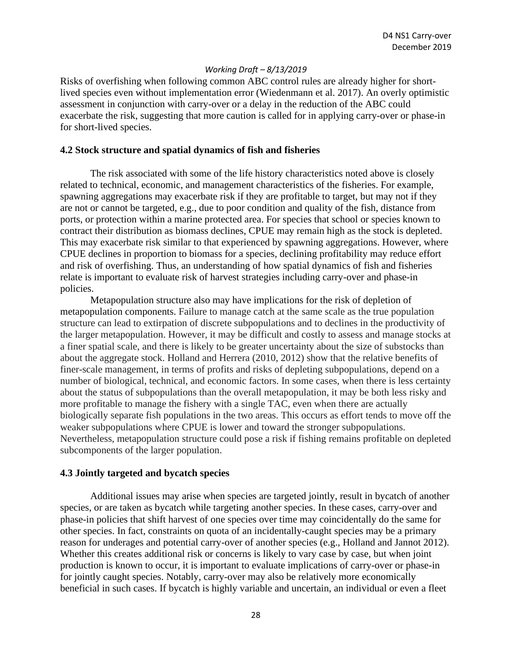Risks of overfishing when following common ABC control rules are already higher for shortlived species even without implementation error (Wiedenmann et al. 2017). An overly optimistic assessment in conjunction with carry-over or a delay in the reduction of the ABC could exacerbate the risk, suggesting that more caution is called for in applying carry-over or phase-in for short-lived species.

#### **4.2 Stock structure and spatial dynamics of fish and fisheries**

The risk associated with some of the life history characteristics noted above is closely related to technical, economic, and management characteristics of the fisheries. For example, spawning aggregations may exacerbate risk if they are profitable to target, but may not if they are not or cannot be targeted, e.g., due to poor condition and quality of the fish, distance from ports, or protection within a marine protected area. For species that school or species known to contract their distribution as biomass declines, CPUE may remain high as the stock is depleted. This may exacerbate risk similar to that experienced by spawning aggregations. However, where CPUE declines in proportion to biomass for a species, declining profitability may reduce effort and risk of overfishing. Thus, an understanding of how spatial dynamics of fish and fisheries relate is important to evaluate risk of harvest strategies including carry-over and phase-in policies.

Metapopulation structure also may have implications for the risk of depletion of metapopulation components. Failure to manage catch at the same scale as the true population structure can lead to extirpation of discrete subpopulations and to declines in the productivity of the larger metapopulation. However, it may be difficult and costly to assess and manage stocks at a finer spatial scale, and there is likely to be greater uncertainty about the size of substocks than about the aggregate stock. Holland and Herrera (2010, 2012) show that the relative benefits of finer-scale management, in terms of profits and risks of depleting subpopulations, depend on a number of biological, technical, and economic factors. In some cases, when there is less certainty about the status of subpopulations than the overall metapopulation, it may be both less risky and more profitable to manage the fishery with a single TAC, even when there are actually biologically separate fish populations in the two areas. This occurs as effort tends to move off the weaker subpopulations where CPUE is lower and toward the stronger subpopulations. Nevertheless, metapopulation structure could pose a risk if fishing remains profitable on depleted subcomponents of the larger population.

#### **4.3 Jointly targeted and bycatch species**

Additional issues may arise when species are targeted jointly, result in bycatch of another species, or are taken as bycatch while targeting another species. In these cases, carry-over and phase-in policies that shift harvest of one species over time may coincidentally do the same for other species. In fact, constraints on quota of an incidentally-caught species may be a primary reason for underages and potential carry-over of another species (e.g., Holland and Jannot 2012). Whether this creates additional risk or concerns is likely to vary case by case, but when joint production is known to occur, it is important to evaluate implications of carry-over or phase-in for jointly caught species. Notably, carry-over may also be relatively more economically beneficial in such cases. If bycatch is highly variable and uncertain, an individual or even a fleet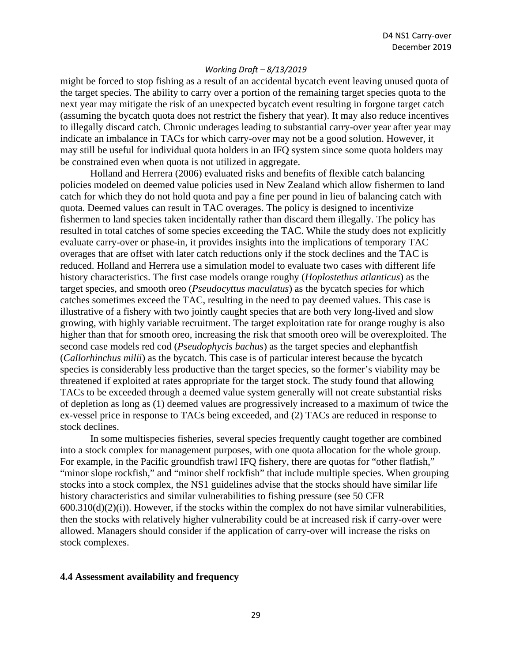might be forced to stop fishing as a result of an accidental bycatch event leaving unused quota of the target species. The ability to carry over a portion of the remaining target species quota to the next year may mitigate the risk of an unexpected bycatch event resulting in forgone target catch (assuming the bycatch quota does not restrict the fishery that year). It may also reduce incentives to illegally discard catch. Chronic underages leading to substantial carry-over year after year may indicate an imbalance in TACs for which carry-over may not be a good solution. However, it may still be useful for individual quota holders in an IFQ system since some quota holders may be constrained even when quota is not utilized in aggregate.

Holland and Herrera (2006) evaluated risks and benefits of flexible catch balancing policies modeled on deemed value policies used in New Zealand which allow fishermen to land catch for which they do not hold quota and pay a fine per pound in lieu of balancing catch with quota. Deemed values can result in TAC overages. The policy is designed to incentivize fishermen to land species taken incidentally rather than discard them illegally. The policy has resulted in total catches of some species exceeding the TAC. While the study does not explicitly evaluate carry-over or phase-in, it provides insights into the implications of temporary TAC overages that are offset with later catch reductions only if the stock declines and the TAC is reduced. Holland and Herrera use a simulation model to evaluate two cases with different life history characteristics. The first case models orange roughy (*Hoplostethus atlanticus*) as the target species, and smooth oreo (*Pseudocyttus maculatus*) as the bycatch species for which catches sometimes exceed the TAC, resulting in the need to pay deemed values. This case is illustrative of a fishery with two jointly caught species that are both very long-lived and slow growing, with highly variable recruitment. The target exploitation rate for orange roughy is also higher than that for smooth oreo, increasing the risk that smooth oreo will be overexploited. The second case models red cod (*Pseudophycis bachus*) as the target species and elephantfish (*Callorhinchus milii*) as the bycatch. This case is of particular interest because the bycatch species is considerably less productive than the target species, so the former's viability may be threatened if exploited at rates appropriate for the target stock. The study found that allowing TACs to be exceeded through a deemed value system generally will not create substantial risks of depletion as long as (1) deemed values are progressively increased to a maximum of twice the ex-vessel price in response to TACs being exceeded, and (2) TACs are reduced in response to stock declines.

In some multispecies fisheries, several species frequently caught together are combined into a stock complex for management purposes, with one quota allocation for the whole group. For example, in the Pacific groundfish trawl IFQ fishery, there are quotas for "other flatfish," "minor slope rockfish," and "minor shelf rockfish" that include multiple species. When grouping stocks into a stock complex, the NS1 guidelines advise that the stocks should have similar life history characteristics and similar vulnerabilities to fishing pressure (see 50 CFR  $600.310(d)(2)(i)$ ). However, if the stocks within the complex do not have similar vulnerabilities, then the stocks with relatively higher vulnerability could be at increased risk if carry-over were allowed. Managers should consider if the application of carry-over will increase the risks on stock complexes.

#### **4.4 Assessment availability and frequency**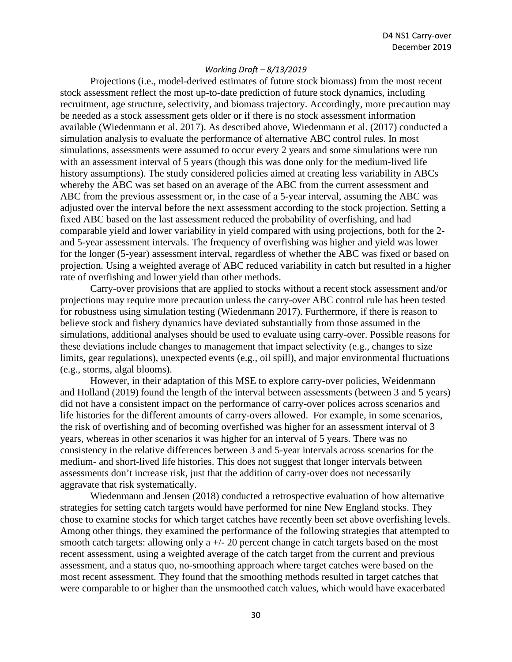Projections (i.e., model-derived estimates of future stock biomass) from the most recent stock assessment reflect the most up-to-date prediction of future stock dynamics, including recruitment, age structure, selectivity, and biomass trajectory. Accordingly, more precaution may be needed as a stock assessment gets older or if there is no stock assessment information available (Wiedenmann et al. 2017). As described above, Wiedenmann et al. (2017) conducted a simulation analysis to evaluate the performance of alternative ABC control rules. In most simulations, assessments were assumed to occur every 2 years and some simulations were run with an assessment interval of 5 years (though this was done only for the medium-lived life history assumptions). The study considered policies aimed at creating less variability in ABCs whereby the ABC was set based on an average of the ABC from the current assessment and ABC from the previous assessment or, in the case of a 5-year interval, assuming the ABC was adjusted over the interval before the next assessment according to the stock projection. Setting a fixed ABC based on the last assessment reduced the probability of overfishing, and had comparable yield and lower variability in yield compared with using projections, both for the 2 and 5-year assessment intervals. The frequency of overfishing was higher and yield was lower for the longer (5-year) assessment interval, regardless of whether the ABC was fixed or based on projection. Using a weighted average of ABC reduced variability in catch but resulted in a higher rate of overfishing and lower yield than other methods.

Carry-over provisions that are applied to stocks without a recent stock assessment and/or projections may require more precaution unless the carry-over ABC control rule has been tested for robustness using simulation testing (Wiedenmann 2017). Furthermore, if there is reason to believe stock and fishery dynamics have deviated substantially from those assumed in the simulations, additional analyses should be used to evaluate using carry-over. Possible reasons for these deviations include changes to management that impact selectivity (e.g., changes to size limits, gear regulations), unexpected events (e.g., oil spill), and major environmental fluctuations (e.g., storms, algal blooms).

However, in their adaptation of this MSE to explore carry-over policies, Weidenmann and Holland (2019) found the length of the interval between assessments (between 3 and 5 years) did not have a consistent impact on the performance of carry-over polices across scenarios and life histories for the different amounts of carry-overs allowed. For example, in some scenarios, the risk of overfishing and of becoming overfished was higher for an assessment interval of 3 years, whereas in other scenarios it was higher for an interval of 5 years. There was no consistency in the relative differences between 3 and 5-year intervals across scenarios for the medium- and short-lived life histories. This does not suggest that longer intervals between assessments don't increase risk, just that the addition of carry-over does not necessarily aggravate that risk systematically.

Wiedenmann and Jensen (2018) conducted a retrospective evaluation of how alternative strategies for setting catch targets would have performed for nine New England stocks. They chose to examine stocks for which target catches have recently been set above overfishing levels. Among other things, they examined the performance of the following strategies that attempted to smooth catch targets: allowing only a  $+/-$  20 percent change in catch targets based on the most recent assessment, using a weighted average of the catch target from the current and previous assessment, and a status quo, no-smoothing approach where target catches were based on the most recent assessment. They found that the smoothing methods resulted in target catches that were comparable to or higher than the unsmoothed catch values, which would have exacerbated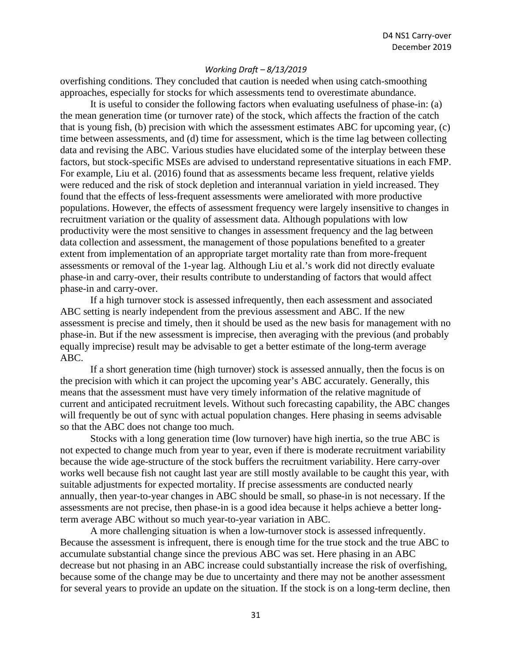overfishing conditions. They concluded that caution is needed when using catch-smoothing approaches, especially for stocks for which assessments tend to overestimate abundance.

It is useful to consider the following factors when evaluating usefulness of phase-in: (a) the mean generation time (or turnover rate) of the stock, which affects the fraction of the catch that is young fish, (b) precision with which the assessment estimates ABC for upcoming year, (c) time between assessments, and (d) time for assessment, which is the time lag between collecting data and revising the ABC. Various studies have elucidated some of the interplay between these factors, but stock-specific MSEs are advised to understand representative situations in each FMP. For example, Liu et al. (2016) found that as assessments became less frequent, relative yields were reduced and the risk of stock depletion and interannual variation in yield increased. They found that the effects of less-frequent assessments were ameliorated with more productive populations. However, the effects of assessment frequency were largely insensitive to changes in recruitment variation or the quality of assessment data. Although populations with low productivity were the most sensitive to changes in assessment frequency and the lag between data collection and assessment, the management of those populations benefited to a greater extent from implementation of an appropriate target mortality rate than from more-frequent assessments or removal of the 1-year lag. Although Liu et al.'s work did not directly evaluate phase-in and carry-over, their results contribute to understanding of factors that would affect phase-in and carry-over.

If a high turnover stock is assessed infrequently, then each assessment and associated ABC setting is nearly independent from the previous assessment and ABC. If the new assessment is precise and timely, then it should be used as the new basis for management with no phase-in. But if the new assessment is imprecise, then averaging with the previous (and probably equally imprecise) result may be advisable to get a better estimate of the long-term average ABC.

If a short generation time (high turnover) stock is assessed annually, then the focus is on the precision with which it can project the upcoming year's ABC accurately. Generally, this means that the assessment must have very timely information of the relative magnitude of current and anticipated recruitment levels. Without such forecasting capability, the ABC changes will frequently be out of sync with actual population changes. Here phasing in seems advisable so that the ABC does not change too much.

Stocks with a long generation time (low turnover) have high inertia, so the true ABC is not expected to change much from year to year, even if there is moderate recruitment variability because the wide age-structure of the stock buffers the recruitment variability. Here carry-over works well because fish not caught last year are still mostly available to be caught this year, with suitable adjustments for expected mortality. If precise assessments are conducted nearly annually, then year-to-year changes in ABC should be small, so phase-in is not necessary. If the assessments are not precise, then phase-in is a good idea because it helps achieve a better longterm average ABC without so much year-to-year variation in ABC.

A more challenging situation is when a low-turnover stock is assessed infrequently. Because the assessment is infrequent, there is enough time for the true stock and the true ABC to accumulate substantial change since the previous ABC was set. Here phasing in an ABC decrease but not phasing in an ABC increase could substantially increase the risk of overfishing, because some of the change may be due to uncertainty and there may not be another assessment for several years to provide an update on the situation. If the stock is on a long-term decline, then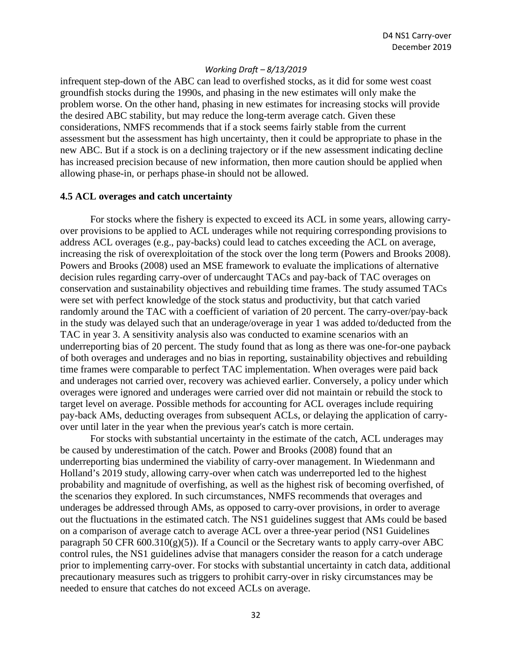infrequent step-down of the ABC can lead to overfished stocks, as it did for some west coast groundfish stocks during the 1990s, and phasing in the new estimates will only make the problem worse. On the other hand, phasing in new estimates for increasing stocks will provide the desired ABC stability, but may reduce the long-term average catch. Given these considerations, NMFS recommends that if a stock seems fairly stable from the current assessment but the assessment has high uncertainty, then it could be appropriate to phase in the new ABC. But if a stock is on a declining trajectory or if the new assessment indicating decline has increased precision because of new information, then more caution should be applied when allowing phase-in, or perhaps phase-in should not be allowed.

#### **4.5 ACL overages and catch uncertainty**

For stocks where the fishery is expected to exceed its ACL in some years, allowing carryover provisions to be applied to ACL underages while not requiring corresponding provisions to address ACL overages (e.g., pay-backs) could lead to catches exceeding the ACL on average, increasing the risk of overexploitation of the stock over the long term (Powers and Brooks 2008). Powers and Brooks (2008) used an MSE framework to evaluate the implications of alternative decision rules regarding carry-over of undercaught TACs and pay-back of TAC overages on conservation and sustainability objectives and rebuilding time frames. The study assumed TACs were set with perfect knowledge of the stock status and productivity, but that catch varied randomly around the TAC with a coefficient of variation of 20 percent. The carry-over/pay-back in the study was delayed such that an underage/overage in year 1 was added to/deducted from the TAC in year 3. A sensitivity analysis also was conducted to examine scenarios with an underreporting bias of 20 percent. The study found that as long as there was one-for-one payback of both overages and underages and no bias in reporting, sustainability objectives and rebuilding time frames were comparable to perfect TAC implementation. When overages were paid back and underages not carried over, recovery was achieved earlier. Conversely, a policy under which overages were ignored and underages were carried over did not maintain or rebuild the stock to target level on average. Possible methods for accounting for ACL overages include requiring pay-back AMs, deducting overages from subsequent ACLs, or delaying the application of carryover until later in the year when the previous year's catch is more certain.

For stocks with substantial uncertainty in the estimate of the catch, ACL underages may be caused by underestimation of the catch. Power and Brooks (2008) found that an underreporting bias undermined the viability of carry-over management. In Wiedenmann and Holland's 2019 study, allowing carry-over when catch was underreported led to the highest probability and magnitude of overfishing, as well as the highest risk of becoming overfished, of the scenarios they explored. In such circumstances, NMFS recommends that overages and underages be addressed through AMs, as opposed to carry-over provisions, in order to average out the fluctuations in the estimated catch. The NS1 guidelines suggest that AMs could be based on a comparison of average catch to average ACL over a three-year period (NS1 Guidelines paragraph 50 CFR  $600.310(g)(5)$ ). If a Council or the Secretary wants to apply carry-over ABC control rules, the NS1 guidelines advise that managers consider the reason for a catch underage prior to implementing carry-over. For stocks with substantial uncertainty in catch data, additional precautionary measures such as triggers to prohibit carry-over in risky circumstances may be needed to ensure that catches do not exceed ACLs on average.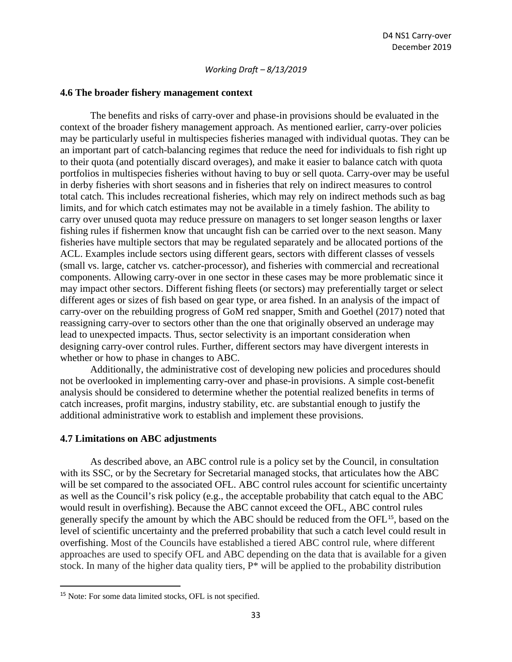#### **4.6 The broader fishery management context**

The benefits and risks of carry-over and phase-in provisions should be evaluated in the context of the broader fishery management approach. As mentioned earlier, carry-over policies may be particularly useful in multispecies fisheries managed with individual quotas. They can be an important part of catch-balancing regimes that reduce the need for individuals to fish right up to their quota (and potentially discard overages), and make it easier to balance catch with quota portfolios in multispecies fisheries without having to buy or sell quota. Carry-over may be useful in derby fisheries with short seasons and in fisheries that rely on indirect measures to control total catch. This includes recreational fisheries, which may rely on indirect methods such as bag limits, and for which catch estimates may not be available in a timely fashion. The ability to carry over unused quota may reduce pressure on managers to set longer season lengths or laxer fishing rules if fishermen know that uncaught fish can be carried over to the next season. Many fisheries have multiple sectors that may be regulated separately and be allocated portions of the ACL. Examples include sectors using different gears, sectors with different classes of vessels (small vs. large, catcher vs. catcher-processor), and fisheries with commercial and recreational components. Allowing carry-over in one sector in these cases may be more problematic since it may impact other sectors. Different fishing fleets (or sectors) may preferentially target or select different ages or sizes of fish based on gear type, or area fished. In an analysis of the impact of carry-over on the rebuilding progress of GoM red snapper, Smith and Goethel (2017) noted that reassigning carry-over to sectors other than the one that originally observed an underage may lead to unexpected impacts. Thus, sector selectivity is an important consideration when designing carry-over control rules. Further, different sectors may have divergent interests in whether or how to phase in changes to ABC.

Additionally, the administrative cost of developing new policies and procedures should not be overlooked in implementing carry-over and phase-in provisions. A simple cost-benefit analysis should be considered to determine whether the potential realized benefits in terms of catch increases, profit margins, industry stability, etc. are substantial enough to justify the additional administrative work to establish and implement these provisions.

#### **4.7 Limitations on ABC adjustments**

As described above, an ABC control rule is a policy set by the Council, in consultation with its SSC, or by the Secretary for Secretarial managed stocks, that articulates how the ABC will be set compared to the associated OFL. ABC control rules account for scientific uncertainty as well as the Council's risk policy (e.g., the acceptable probability that catch equal to the ABC would result in overfishing). Because the ABC cannot exceed the OFL, ABC control rules generally specify the amount by which the ABC should be reduced from the OFL<sup>[15](#page-32-0)</sup>, based on the level of scientific uncertainty and the preferred probability that such a catch level could result in overfishing. Most of the Councils have established a tiered ABC control rule, where different approaches are used to specify OFL and ABC depending on the data that is available for a given stock. In many of the higher data quality tiers, P\* will be applied to the probability distribution

<span id="page-32-0"></span><sup>15</sup> Note: For some data limited stocks, OFL is not specified.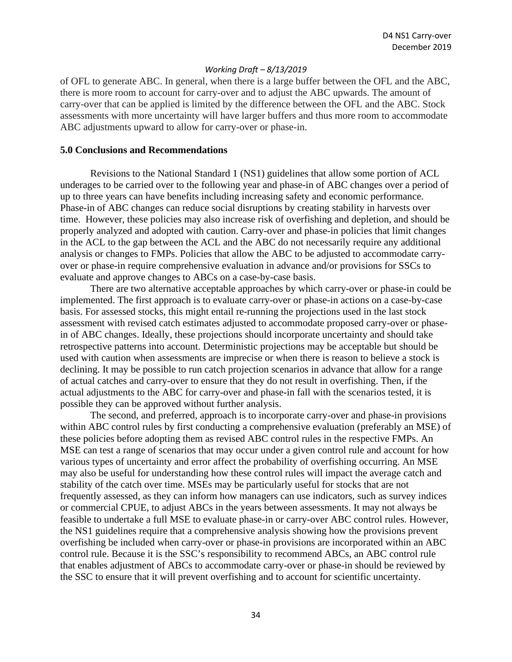of OFL to generate ABC. In general, when there is a large buffer between the OFL and the ABC, there is more room to account for carry-over and to adjust the ABC upwards. The amount of carry-over that can be applied is limited by the difference between the OFL and the ABC. Stock assessments with more uncertainty will have larger buffers and thus more room to accommodate ABC adjustments upward to allow for carry-over or phase-in.

#### **5.0 Conclusions and Recommendations**

Revisions to the National Standard 1 (NS1) guidelines that allow some portion of ACL underages to be carried over to the following year and phase-in of ABC changes over a period of up to three years can have benefits including increasing safety and economic performance. Phase-in of ABC changes can reduce social disruptions by creating stability in harvests over time. However, these policies may also increase risk of overfishing and depletion, and should be properly analyzed and adopted with caution. Carry-over and phase-in policies that limit changes in the ACL to the gap between the ACL and the ABC do not necessarily require any additional analysis or changes to FMPs. Policies that allow the ABC to be adjusted to accommodate carryover or phase-in require comprehensive evaluation in advance and/or provisions for SSCs to evaluate and approve changes to ABCs on a case-by-case basis.

There are two alternative acceptable approaches by which carry-over or phase-in could be implemented. The first approach is to evaluate carry-over or phase-in actions on a case-by-case basis. For assessed stocks, this might entail re-running the projections used in the last stock assessment with revised catch estimates adjusted to accommodate proposed carry-over or phasein of ABC changes. Ideally, these projections should incorporate uncertainty and should take retrospective patterns into account. Deterministic projections may be acceptable but should be used with caution when assessments are imprecise or when there is reason to believe a stock is declining. It may be possible to run catch projection scenarios in advance that allow for a range of actual catches and carry-over to ensure that they do not result in overfishing. Then, if the actual adjustments to the ABC for carry-over and phase-in fall with the scenarios tested, it is possible they can be approved without further analysis.

The second, and preferred, approach is to incorporate carry-over and phase-in provisions within ABC control rules by first conducting a comprehensive evaluation (preferably an MSE) of these policies before adopting them as revised ABC control rules in the respective FMPs. An MSE can test a range of scenarios that may occur under a given control rule and account for how various types of uncertainty and error affect the probability of overfishing occurring. An MSE may also be useful for understanding how these control rules will impact the average catch and stability of the catch over time. MSEs may be particularly useful for stocks that are not frequently assessed, as they can inform how managers can use indicators, such as survey indices or commercial CPUE, to adjust ABCs in the years between assessments. It may not always be feasible to undertake a full MSE to evaluate phase-in or carry-over ABC control rules. However, the NS1 guidelines require that a comprehensive analysis showing how the provisions prevent overfishing be included when carry-over or phase-in provisions are incorporated within an ABC control rule. Because it is the SSC's responsibility to recommend ABCs, an ABC control rule that enables adjustment of ABCs to accommodate carry-over or phase-in should be reviewed by the SSC to ensure that it will prevent overfishing and to account for scientific uncertainty.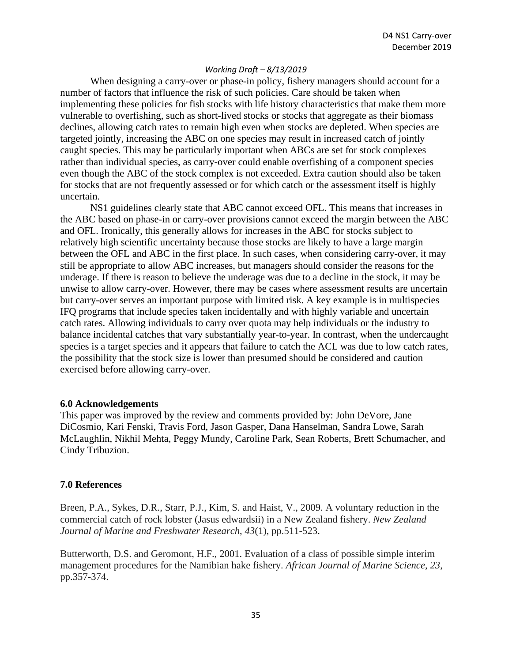When designing a carry-over or phase-in policy, fishery managers should account for a number of factors that influence the risk of such policies. Care should be taken when implementing these policies for fish stocks with life history characteristics that make them more vulnerable to overfishing, such as short-lived stocks or stocks that aggregate as their biomass declines, allowing catch rates to remain high even when stocks are depleted. When species are targeted jointly, increasing the ABC on one species may result in increased catch of jointly caught species. This may be particularly important when ABCs are set for stock complexes rather than individual species, as carry-over could enable overfishing of a component species even though the ABC of the stock complex is not exceeded. Extra caution should also be taken for stocks that are not frequently assessed or for which catch or the assessment itself is highly uncertain.

NS1 guidelines clearly state that ABC cannot exceed OFL. This means that increases in the ABC based on phase-in or carry-over provisions cannot exceed the margin between the ABC and OFL. Ironically, this generally allows for increases in the ABC for stocks subject to relatively high scientific uncertainty because those stocks are likely to have a large margin between the OFL and ABC in the first place. In such cases, when considering carry-over, it may still be appropriate to allow ABC increases, but managers should consider the reasons for the underage. If there is reason to believe the underage was due to a decline in the stock, it may be unwise to allow carry-over. However, there may be cases where assessment results are uncertain but carry-over serves an important purpose with limited risk. A key example is in multispecies IFQ programs that include species taken incidentally and with highly variable and uncertain catch rates. Allowing individuals to carry over quota may help individuals or the industry to balance incidental catches that vary substantially year-to-year. In contrast, when the undercaught species is a target species and it appears that failure to catch the ACL was due to low catch rates, the possibility that the stock size is lower than presumed should be considered and caution exercised before allowing carry-over.

#### **6.0 Acknowledgements**

This paper was improved by the review and comments provided by: John DeVore, Jane DiCosmio, Kari Fenski, Travis Ford, Jason Gasper, Dana Hanselman, Sandra Lowe, Sarah McLaughlin, Nikhil Mehta, Peggy Mundy, Caroline Park, Sean Roberts, Brett Schumacher, and Cindy Tribuzion.

#### **7.0 References**

Breen, P.A., Sykes, D.R., Starr, P.J., Kim, S. and Haist, V., 2009. A voluntary reduction in the commercial catch of rock lobster (Jasus edwardsii) in a New Zealand fishery. *New Zealand Journal of Marine and Freshwater Research*, *43*(1), pp.511-523.

Butterworth, D.S. and Geromont, H.F., 2001. Evaluation of a class of possible simple interim management procedures for the Namibian hake fishery. *African Journal of Marine Science*, *23*, pp.357-374.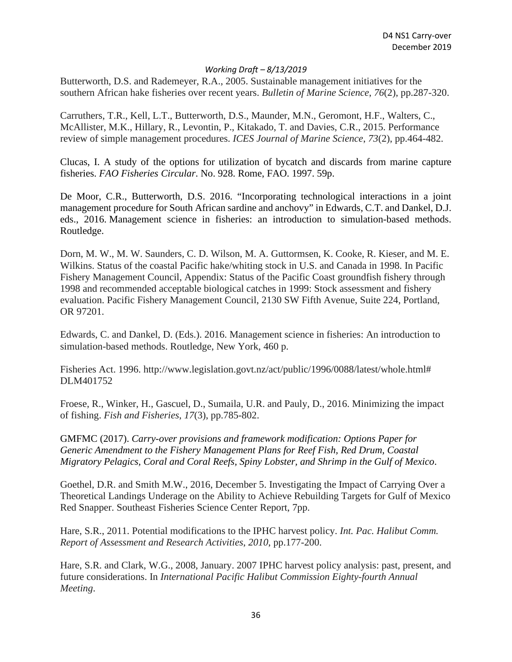Butterworth, D.S. and Rademeyer, R.A., 2005. Sustainable management initiatives for the southern African hake fisheries over recent years. *Bulletin of Marine Science*, *76*(2), pp.287-320.

Carruthers, T.R., Kell, L.T., Butterworth, D.S., Maunder, M.N., Geromont, H.F., Walters, C., McAllister, M.K., Hillary, R., Levontin, P., Kitakado, T. and Davies, C.R., 2015. Performance review of simple management procedures. *ICES Journal of Marine Science*, *73*(2), pp.464-482.

Clucas, I. A study of the options for utilization of bycatch and discards from marine capture fisheries. *FAO Fisheries Circular*. No. 928. Rome, FAO. 1997. 59p.

De Moor, C.R., Butterworth, D.S. 2016. "Incorporating technological interactions in a joint management procedure for South African sardine and anchovy" in Edwards, C.T. and Dankel, D.J. eds., 2016. Management science in fisheries: an introduction to simulation-based methods. Routledge.

Dorn, M. W., M. W. Saunders, C. D. Wilson, M. A. Guttormsen, K. Cooke, R. Kieser, and M. E. Wilkins. Status of the coastal Pacific hake/whiting stock in U.S. and Canada in 1998. In Pacific Fishery Management Council, Appendix: Status of the Pacific Coast groundfish fishery through 1998 and recommended acceptable biological catches in 1999: Stock assessment and fishery evaluation. Pacific Fishery Management Council, 2130 SW Fifth Avenue, Suite 224, Portland, OR 97201.

Edwards, C. and Dankel, D. (Eds.). 2016. Management science in fisheries: An introduction to simulation-based methods. Routledge, New York, 460 p.

Fisheries Act. 1996. http://www.legislation.govt.nz/act/public/1996/0088/latest/whole.html# DLM401752

Froese, R., Winker, H., Gascuel, D., Sumaila, U.R. and Pauly, D., 2016. Minimizing the impact of fishing. *Fish and Fisheries*, *17*(3), pp.785-802.

GMFMC (2017). *Carry-over provisions and framework modification: Options Paper for Generic Amendment to the Fishery Management Plans for Reef Fish, Red Drum, Coastal Migratory Pelagics, Coral and Coral Reefs, Spiny Lobster, and Shrimp in the Gulf of Mexico*.

Goethel, D.R. and Smith M.W., 2016, December 5. Investigating the Impact of Carrying Over a Theoretical Landings Underage on the Ability to Achieve Rebuilding Targets for Gulf of Mexico Red Snapper. Southeast Fisheries Science Center Report, 7pp.

Hare, S.R., 2011. Potential modifications to the IPHC harvest policy. *Int. Pac. Halibut Comm. Report of Assessment and Research Activities*, *2010*, pp.177-200.

Hare, S.R. and Clark, W.G., 2008, January. 2007 IPHC harvest policy analysis: past, present, and future considerations. In *International Pacific Halibut Commission Eighty-fourth Annual Meeting*.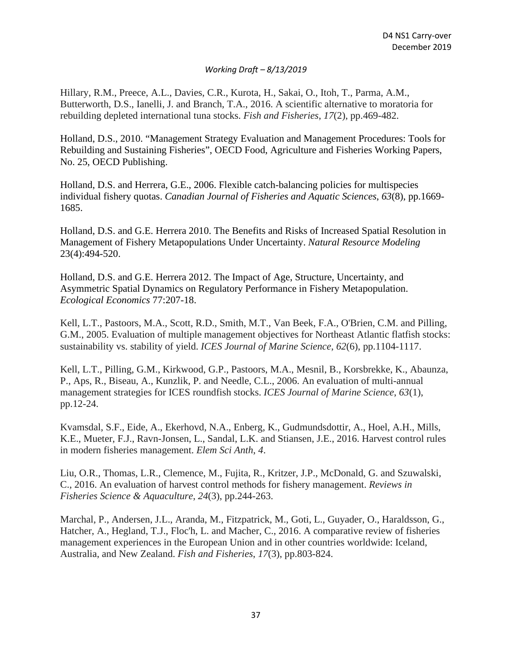Hillary, R.M., Preece, A.L., Davies, C.R., Kurota, H., Sakai, O., Itoh, T., Parma, A.M., Butterworth, D.S., Ianelli, J. and Branch, T.A., 2016. A scientific alternative to moratoria for rebuilding depleted international tuna stocks. *Fish and Fisheries*, *17*(2), pp.469-482.

Holland, D.S., 2010. "Management Strategy Evaluation and Management Procedures: Tools for Rebuilding and Sustaining Fisheries", OECD Food, Agriculture and Fisheries Working Papers, No. 25, OECD Publishing.

Holland, D.S. and Herrera, G.E., 2006. Flexible catch-balancing policies for multispecies individual fishery quotas. *Canadian Journal of Fisheries and Aquatic Sciences*, *63*(8), pp.1669- 1685.

Holland, D.S. and G.E. Herrera 2010. The Benefits and Risks of Increased Spatial Resolution in Management of Fishery Metapopulations Under Uncertainty. *Natural Resource Modeling* 23(4):494-520.

Holland, D.S. and G.E. Herrera 2012. The Impact of Age, Structure, Uncertainty, and Asymmetric Spatial Dynamics on Regulatory Performance in Fishery Metapopulation. *Ecological Economics* 77:207-18.

Kell, L.T., Pastoors, M.A., Scott, R.D., Smith, M.T., Van Beek, F.A., O'Brien, C.M. and Pilling, G.M., 2005. Evaluation of multiple management objectives for Northeast Atlantic flatfish stocks: sustainability vs. stability of yield. *ICES Journal of Marine Science*, *62*(6), pp.1104-1117.

Kell, L.T., Pilling, G.M., Kirkwood, G.P., Pastoors, M.A., Mesnil, B., Korsbrekke, K., Abaunza, P., Aps, R., Biseau, A., Kunzlik, P. and Needle, C.L., 2006. An evaluation of multi-annual management strategies for ICES roundfish stocks. *ICES Journal of Marine Science*, *63*(1), pp.12-24.

Kvamsdal, S.F., Eide, A., Ekerhovd, N.A., Enberg, K., Gudmundsdottir, A., Hoel, A.H., Mills, K.E., Mueter, F.J., Ravn-Jonsen, L., Sandal, L.K. and Stiansen, J.E., 2016. Harvest control rules in modern fisheries management. *Elem Sci Anth*, *4*.

Liu, O.R., Thomas, L.R., Clemence, M., Fujita, R., Kritzer, J.P., McDonald, G. and Szuwalski, C., 2016. An evaluation of harvest control methods for fishery management. *Reviews in Fisheries Science & Aquaculture*, *24*(3), pp.244-263.

Marchal, P., Andersen, J.L., Aranda, M., Fitzpatrick, M., Goti, L., Guyader, O., Haraldsson, G., Hatcher, A., Hegland, T.J., Floc'h, L. and Macher, C., 2016. A comparative review of fisheries management experiences in the European Union and in other countries worldwide: Iceland, Australia, and New Zealand. *Fish and Fisheries*, *17*(3), pp.803-824.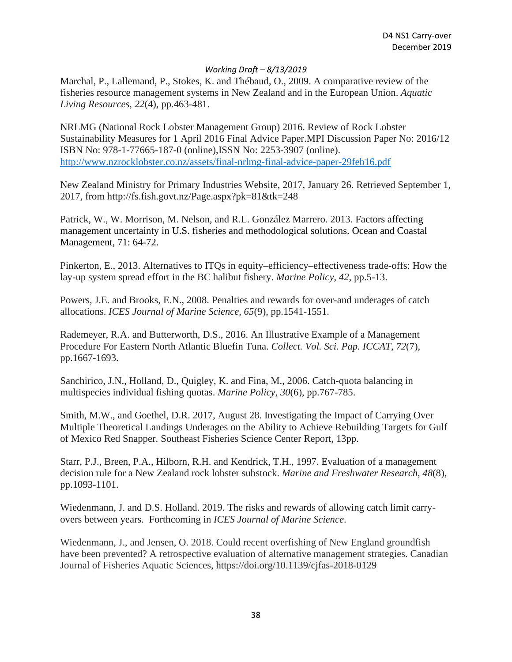Marchal, P., Lallemand, P., Stokes, K. and Thébaud, O., 2009. A comparative review of the fisheries resource management systems in New Zealand and in the European Union. *Aquatic Living Resources*, *22*(4), pp.463-481.

NRLMG (National Rock Lobster Management Group) 2016. Review of Rock Lobster Sustainability Measures for 1 April 2016 Final Advice Paper.MPI Discussion Paper No: 2016/12 ISBN No: 978-1-77665-187-0 (online),ISSN No: 2253-3907 (online). <http://www.nzrocklobster.co.nz/assets/final-nrlmg-final-advice-paper-29feb16.pdf>

New Zealand Ministry for Primary Industries Website, 2017, January 26. Retrieved September 1, 2017, from http://fs.fish.govt.nz/Page.aspx?pk=81&tk=248

Patrick, W., W. Morrison, M. Nelson, and R.L. González Marrero. 2013. Factors affecting management uncertainty in U.S. fisheries and methodological solutions. Ocean and Coastal Management, 71: 64-72.

Pinkerton, E., 2013. Alternatives to ITQs in equity–efficiency–effectiveness trade-offs: How the lay-up system spread effort in the BC halibut fishery. *Marine Policy*, *42*, pp.5-13.

Powers, J.E. and Brooks, E.N., 2008. Penalties and rewards for over-and underages of catch allocations. *ICES Journal of Marine Science*, *65*(9), pp.1541-1551.

Rademeyer, R.A. and Butterworth, D.S., 2016. An Illustrative Example of a Management Procedure For Eastern North Atlantic Bluefin Tuna. *Collect. Vol. Sci. Pap. ICCAT*, *72*(7), pp.1667-1693.

Sanchirico, J.N., Holland, D., Quigley, K. and Fina, M., 2006. Catch-quota balancing in multispecies individual fishing quotas. *Marine Policy*, *30*(6), pp.767-785.

Smith, M.W., and Goethel, D.R. 2017, August 28. Investigating the Impact of Carrying Over Multiple Theoretical Landings Underages on the Ability to Achieve Rebuilding Targets for Gulf of Mexico Red Snapper. Southeast Fisheries Science Center Report, 13pp.

Starr, P.J., Breen, P.A., Hilborn, R.H. and Kendrick, T.H., 1997. Evaluation of a management decision rule for a New Zealand rock lobster substock. *Marine and Freshwater Research*, *48*(8), pp.1093-1101.

Wiedenmann, J. and D.S. Holland. 2019. The risks and rewards of allowing catch limit carryovers between years. Forthcoming in *ICES Journal of Marine Science*.

Wiedenmann, J., and Jensen, O. 2018. Could recent overfishing of New England groundfish have been prevented? A retrospective evaluation of alternative management strategies. Canadian Journal of Fisheries Aquatic Sciences,<https://doi.org/10.1139/cjfas-2018-0129>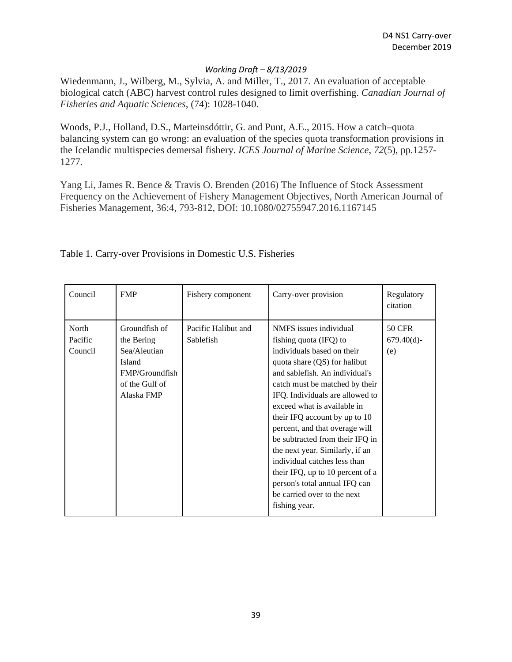Wiedenmann, J., Wilberg, M., Sylvia, A. and Miller, T., 2017. An evaluation of acceptable biological catch (ABC) harvest control rules designed to limit overfishing. *Canadian Journal of Fisheries and Aquatic Sciences*, (74): 1028-1040.

Woods, P.J., Holland, D.S., Marteinsdóttir, G. and Punt, A.E., 2015. How a catch–quota balancing system can go wrong: an evaluation of the species quota transformation provisions in the Icelandic multispecies demersal fishery. *ICES Journal of Marine Science*, *72*(5), pp.1257- 1277.

Yang Li, James R. Bence & Travis O. Brenden (2016) The Influence of Stock Assessment Frequency on the Achievement of Fishery Management Objectives, North American Journal of Fisheries Management, 36:4, 793-812, DOI: 10.1080/02755947.2016.1167145

| Council                     | <b>FMP</b>                                                                                              | Fishery component                | Carry-over provision                                                                                                                                                                                                                                                                                                                                                                                                                                                                                                                               | Regulatory<br>citation                |
|-----------------------------|---------------------------------------------------------------------------------------------------------|----------------------------------|----------------------------------------------------------------------------------------------------------------------------------------------------------------------------------------------------------------------------------------------------------------------------------------------------------------------------------------------------------------------------------------------------------------------------------------------------------------------------------------------------------------------------------------------------|---------------------------------------|
| North<br>Pacific<br>Council | Groundfish of<br>the Bering<br>Sea/Aleutian<br>Island<br>FMP/Groundfish<br>of the Gulf of<br>Alaska FMP | Pacific Halibut and<br>Sablefish | NMFS issues individual<br>fishing quota (IFQ) to<br>individuals based on their<br>quota share (QS) for halibut<br>and sablefish. An individual's<br>catch must be matched by their<br>IFQ. Individuals are allowed to<br>exceed what is available in<br>their IFQ account by up to 10<br>percent, and that overage will<br>be subtracted from their IFQ in<br>the next year. Similarly, if an<br>individual catches less than<br>their IFQ, up to 10 percent of a<br>person's total annual IFQ can<br>be carried over to the next<br>fishing year. | <b>50 CFR</b><br>$679.40(d)$ -<br>(e) |

Table 1. Carry-over Provisions in Domestic U.S. Fisheries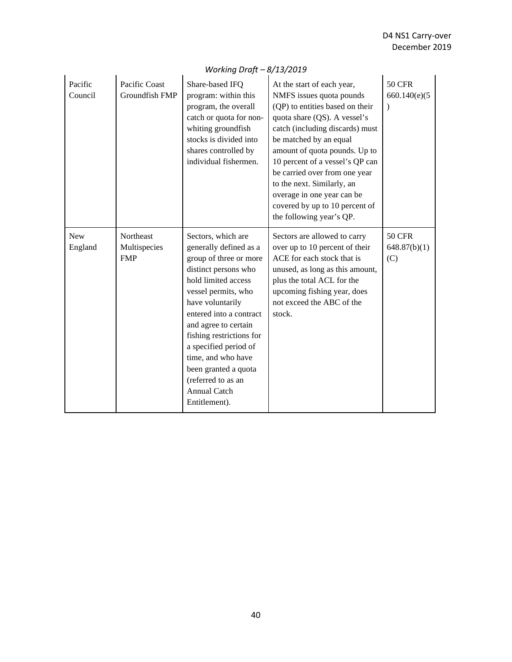| Pacific<br>Council    | Pacific Coast<br>Groundfish FMP                | Share-based IFQ<br>program: within this<br>program, the overall<br>catch or quota for non-<br>whiting groundfish<br>stocks is divided into<br>shares controlled by<br>individual fishermen.                                                                                                                                                                                          | At the start of each year,<br>NMFS issues quota pounds<br>(QP) to entities based on their<br>quota share (QS). A vessel's<br>catch (including discards) must<br>be matched by an equal<br>amount of quota pounds. Up to<br>10 percent of a vessel's QP can<br>be carried over from one year<br>to the next. Similarly, an<br>overage in one year can be<br>covered by up to 10 percent of<br>the following year's QP. | <b>50 CFR</b><br>660.140(e)(5)       |
|-----------------------|------------------------------------------------|--------------------------------------------------------------------------------------------------------------------------------------------------------------------------------------------------------------------------------------------------------------------------------------------------------------------------------------------------------------------------------------|-----------------------------------------------------------------------------------------------------------------------------------------------------------------------------------------------------------------------------------------------------------------------------------------------------------------------------------------------------------------------------------------------------------------------|--------------------------------------|
| <b>New</b><br>England | <b>Northeast</b><br>Multispecies<br><b>FMP</b> | Sectors, which are<br>generally defined as a<br>group of three or more<br>distinct persons who<br>hold limited access<br>vessel permits, who<br>have voluntarily<br>entered into a contract<br>and agree to certain<br>fishing restrictions for<br>a specified period of<br>time, and who have<br>been granted a quota<br>(referred to as an<br><b>Annual Catch</b><br>Entitlement). | Sectors are allowed to carry<br>over up to 10 percent of their<br>ACE for each stock that is<br>unused, as long as this amount,<br>plus the total ACL for the<br>upcoming fishing year, does<br>not exceed the ABC of the<br>stock.                                                                                                                                                                                   | <b>50 CFR</b><br>648.87(b)(1)<br>(C) |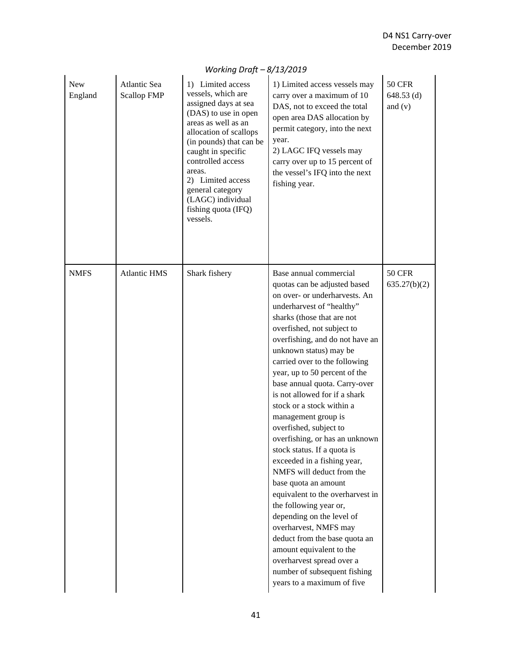| <b>New</b><br>England | Atlantic Sea<br>Scallop FMP | 1) Limited access<br>vessels, which are<br>assigned days at sea<br>(DAS) to use in open<br>areas as well as an<br>allocation of scallops<br>(in pounds) that can be<br>caught in specific<br>controlled access<br>areas.<br>2) Limited access<br>general category<br>(LAGC) individual<br>fishing quota (IFQ)<br>vessels. | 1) Limited access vessels may<br>carry over a maximum of 10<br>DAS, not to exceed the total<br>open area DAS allocation by<br>permit category, into the next<br>year.<br>2) LAGC IFQ vessels may<br>carry over up to 15 percent of<br>the vessel's IFQ into the next<br>fishing year.                                                                                                                                                                                                                                                                                                                                                                                                                                                                                                                                                                                                            | <b>50 CFR</b><br>$648.53$ (d)<br>and $(v)$ |
|-----------------------|-----------------------------|---------------------------------------------------------------------------------------------------------------------------------------------------------------------------------------------------------------------------------------------------------------------------------------------------------------------------|--------------------------------------------------------------------------------------------------------------------------------------------------------------------------------------------------------------------------------------------------------------------------------------------------------------------------------------------------------------------------------------------------------------------------------------------------------------------------------------------------------------------------------------------------------------------------------------------------------------------------------------------------------------------------------------------------------------------------------------------------------------------------------------------------------------------------------------------------------------------------------------------------|--------------------------------------------|
| <b>NMFS</b>           | <b>Atlantic HMS</b>         | Shark fishery                                                                                                                                                                                                                                                                                                             | Base annual commercial<br>quotas can be adjusted based<br>on over- or underharvests. An<br>underharvest of "healthy"<br>sharks (those that are not<br>overfished, not subject to<br>overfishing, and do not have an<br>unknown status) may be<br>carried over to the following<br>year, up to 50 percent of the<br>base annual quota. Carry-over<br>is not allowed for if a shark<br>stock or a stock within a<br>management group is<br>overfished, subject to<br>overfishing, or has an unknown<br>stock status. If a quota is<br>exceeded in a fishing year,<br>NMFS will deduct from the<br>base quota an amount<br>equivalent to the overharvest in<br>the following year or,<br>depending on the level of<br>overharvest, NMFS may<br>deduct from the base quota an<br>amount equivalent to the<br>overharvest spread over a<br>number of subsequent fishing<br>years to a maximum of five | <b>50 CFR</b><br>635.27(b)(2)              |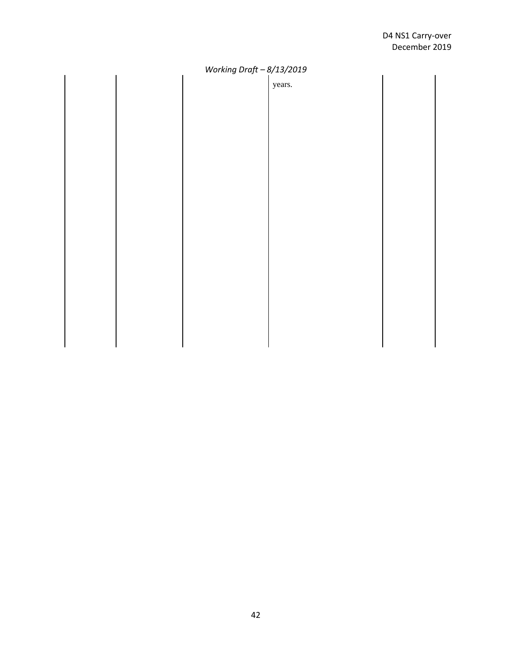years.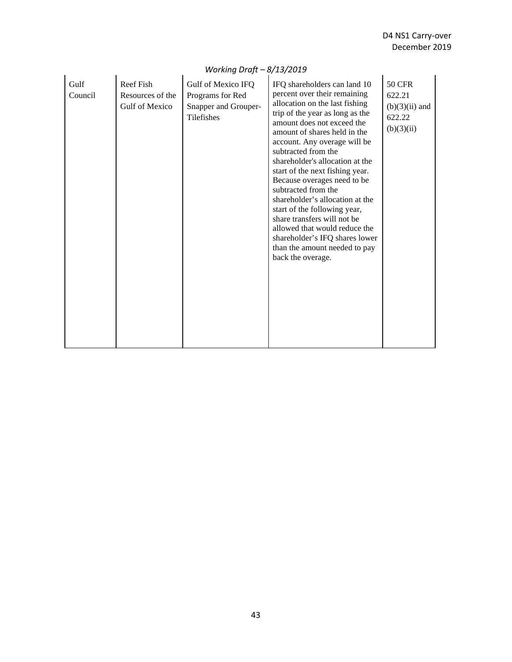| Gulf<br>Council | Reef Fish<br>Resources of the<br>Gulf of Mexico | Gulf of Mexico IFQ<br>Programs for Red<br>Snapper and Grouper-<br>Tilefishes | IFQ shareholders can land 10<br>percent over their remaining<br>allocation on the last fishing<br>trip of the year as long as the<br>amount does not exceed the<br>amount of shares held in the<br>account. Any overage will be<br>subtracted from the<br>shareholder's allocation at the<br>start of the next fishing year.<br>Because overages need to be<br>subtracted from the<br>shareholder's allocation at the<br>start of the following year,<br>share transfers will not be<br>allowed that would reduce the<br>shareholder's IFQ shares lower<br>than the amount needed to pay<br>back the overage. | <b>50 CFR</b><br>622.21<br>$(b)(3)(ii)$ and<br>622.22<br>(b)(3)(ii) |
|-----------------|-------------------------------------------------|------------------------------------------------------------------------------|---------------------------------------------------------------------------------------------------------------------------------------------------------------------------------------------------------------------------------------------------------------------------------------------------------------------------------------------------------------------------------------------------------------------------------------------------------------------------------------------------------------------------------------------------------------------------------------------------------------|---------------------------------------------------------------------|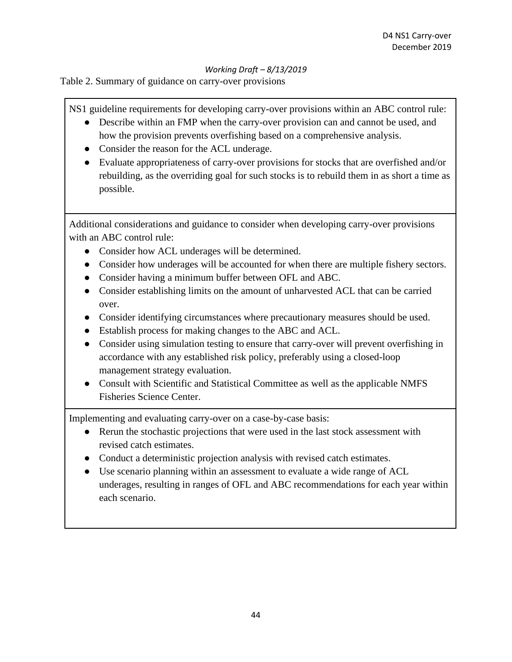Table 2. Summary of guidance on carry-over provisions

NS1 guideline requirements for developing carry-over provisions within an ABC control rule:

- Describe within an FMP when the carry-over provision can and cannot be used, and how the provision prevents overfishing based on a comprehensive analysis.
- Consider the reason for the ACL underage.
- Evaluate appropriateness of carry-over provisions for stocks that are overfished and/or rebuilding, as the overriding goal for such stocks is to rebuild them in as short a time as possible.

Additional considerations and guidance to consider when developing carry-over provisions with an ABC control rule:

- Consider how ACL underages will be determined.
- Consider how underages will be accounted for when there are multiple fishery sectors.
- Consider having a minimum buffer between OFL and ABC.
- Consider establishing limits on the amount of unharvested ACL that can be carried over.
- Consider identifying circumstances where precautionary measures should be used.
- Establish process for making changes to the ABC and ACL.
- Consider using simulation testing to ensure that carry-over will prevent overfishing in accordance with any established risk policy, preferably using a closed-loop management strategy evaluation.
- Consult with Scientific and Statistical Committee as well as the applicable NMFS Fisheries Science Center.

Implementing and evaluating carry-over on a case-by-case basis:

- Rerun the stochastic projections that were used in the last stock assessment with revised catch estimates.
- Conduct a deterministic projection analysis with revised catch estimates.
- Use scenario planning within an assessment to evaluate a wide range of ACL underages, resulting in ranges of OFL and ABC recommendations for each year within each scenario.